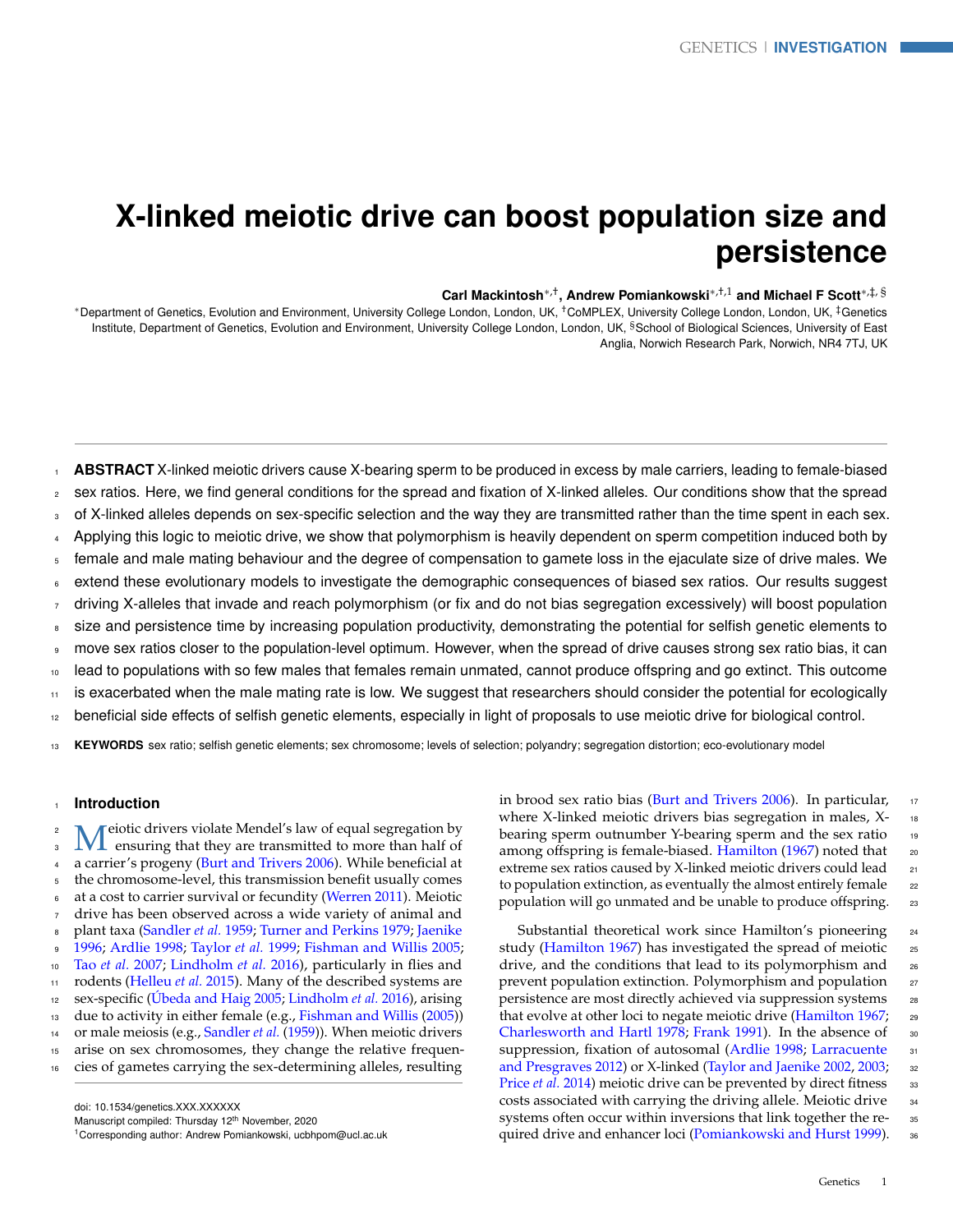# **X-linked meiotic drive can boost population size and persistence**

## **Carl Mackintosh**∗,† **, Andrew Pomiankowski**∗,†,1 **and Michael F Scott**∗,‡, §

<sup>∗</sup>Department of Genetics, Evolution and Environment, University College London, London, UK, †CoMPLEX, University College London, London, UK, ‡Genetics Institute, Department of Genetics, Evolution and Environment, University College London, London, UK, <sup>§</sup>School of Biological Sciences, University of East Anglia, Norwich Research Park, Norwich, NR4 7TJ, UK

**ABSTRACT** X-linked meiotic drivers cause X-bearing sperm to be produced in excess by male carriers, leading to female-biased sex ratios. Here, we find general conditions for the spread and fixation of X-linked alleles. Our conditions show that the spread of X-linked alleles depends on sex-specific selection and the way they are transmitted rather than the time spent in each sex. Applying this logic to meiotic drive, we show that polymorphism is heavily dependent on sperm competition induced both by female and male mating behaviour and the degree of compensation to gamete loss in the ejaculate size of drive males. We extend these evolutionary models to investigate the demographic consequences of biased sex ratios. Our results suggest driving X-alleles that invade and reach polymorphism (or fix and do not bias segregation excessively) will boost population size and persistence time by increasing population productivity, demonstrating the potential for selfish genetic elements to move sex ratios closer to the population-level optimum. However, when the spread of drive causes strong sex ratio bias, it can lead to populations with so few males that females remain unmated, cannot produce offspring and go extinct. This outcome is exacerbated when the male mating rate is low. We suggest that researchers should consider the potential for ecologically beneficial side effects of selfish genetic elements, especially in light of proposals to use meiotic drive for biological control.

<sup>13</sup> **KEYWORDS** sex ratio; selfish genetic elements; sex chromosome; levels of selection; polyandry; segregation distortion; eco-evolutionary model

## <sup>1</sup> **Introduction**

 $\rm M$  ensuring that they are transmitted to more than half of<br>a carrier's progeny [\(Burt and Trivers](#page-9-0) [2006\)](#page-9-0). While beneficial at <sup>2</sup> N  $\Lambda$  eiotic drivers violate Mendel's law of equal segregation by  $\frac{1}{10}$  ensuring that they are transmitted to more than half of the chromosome-level, this transmission benefit usually comes at a cost to carrier survival or fecundity [\(Werren](#page-11-0) [2011\)](#page-11-0). Meiotic drive has been observed across a wide variety of animal and plant taxa [\(Sandler](#page-10-0) *et al.* [1959;](#page-10-0) [Turner and Perkins](#page-11-1) [1979;](#page-11-1) [Jaenike](#page-10-1) [1996;](#page-10-1) [Ardlie](#page-9-1) [1998;](#page-9-1) [Taylor](#page-11-2) *et al.* [1999;](#page-11-2) [Fishman and Willis](#page-10-2) [2005;](#page-10-2) Tao *[et al.](#page-10-3)* [2007;](#page-10-3) [Lindholm](#page-10-4) *et al.* [2016\)](#page-10-4), particularly in flies and rodents [\(Helleu](#page-10-5) *et al.* [2015\)](#page-10-5). Many of the described systems are sex-specific [\(Úbeda and Haig](#page-11-3) [2005;](#page-11-3) [Lindholm](#page-10-4) *et al.* [2016\)](#page-10-4), arising 13 due to activity in either female (e.g., [Fishman and Willis](#page-10-2) [\(2005\)](#page-10-2)) or male meiosis (e.g., [Sandler](#page-10-0) *et al.* [\(1959\)](#page-10-0)). When meiotic drivers arise on sex chromosomes, they change the relative frequen-cies of gametes carrying the sex-determining alleles, resulting

doi: 10.1534/genetics.XXX.XXXXXX Manuscript compiled: Thursday 12<sup>th</sup> November, 2020 <sup>1</sup>Corresponding author: Andrew Pomiankowski, ucbhpom@ucl.ac.uk in brood sex ratio bias [\(Burt and Trivers](#page-9-0) [2006\)](#page-9-0). In particular,  $\frac{17}{2}$ where X-linked meiotic drivers bias segregation in males, X- 18 bearing sperm outnumber Y-bearing sperm and the sex ratio 19 among offspring is female-biased. [Hamilton](#page-10-6) [\(1967\)](#page-10-6) noted that 20 extreme sex ratios caused by X-linked meiotic drivers could lead 21 to population extinction, as eventually the almost entirely female  $22$ population will go unmated and be unable to produce offspring. 23

Substantial theoretical work since Hamilton's pioneering 24 study [\(Hamilton](#page-10-6) [1967\)](#page-10-6) has investigated the spread of meiotic 25 drive, and the conditions that lead to its polymorphism and <sup>26</sup> prevent population extinction. Polymorphism and population 27 persistence are most directly achieved via suppression systems 28 that evolve at other loci to negate meiotic drive [\(Hamilton](#page-10-6) [1967;](#page-10-6) 29 [Charlesworth and Hartl](#page-9-2) [1978;](#page-9-2) [Frank](#page-10-7) [1991\)](#page-10-7). In the absence of 30 [s](#page-10-8)uppression, fixation of autosomal [\(Ardlie](#page-9-1) [1998;](#page-9-1) [Larracuente](#page-10-8) 31 [and Presgraves](#page-10-8) [2012\)](#page-10-8) or X-linked [\(Taylor and Jaenike](#page-11-4) [2002,](#page-11-4) [2003;](#page-11-5) <sup>32</sup> [Price](#page-10-9) *et al.* [2014\)](#page-10-9) meiotic drive can be prevented by direct fitness  $\frac{33}{2}$ costs associated with carrying the driving allele. Meiotic drive 34 systems often occur within inversions that link together the re- 35 quired drive and enhancer loci [\(Pomiankowski and Hurst](#page-10-10) [1999\)](#page-10-10). <sup>36</sup>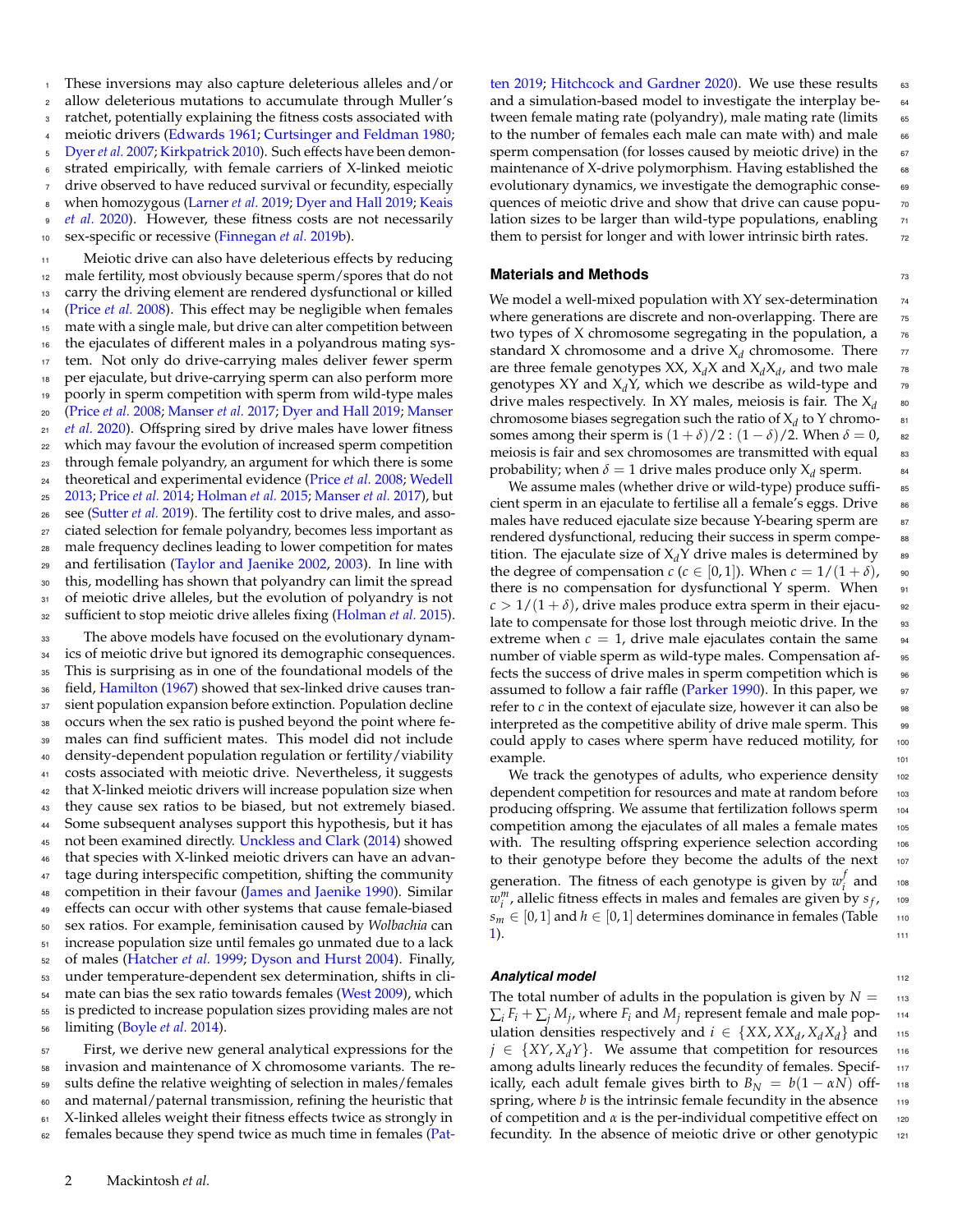<sup>1</sup> These inversions may also capture deleterious alleles and/or <sup>2</sup> allow deleterious mutations to accumulate through Muller's <sup>3</sup> ratchet, potentially explaining the fitness costs associated with meiotic drivers [\(Edwards](#page-9-3) [1961;](#page-9-3) [Curtsinger and Feldman](#page-9-4) [1980;](#page-9-4) <sup>5</sup> [Dyer](#page-9-5) *et al.* [2007;](#page-9-5) [Kirkpatrick](#page-10-11) [2010\)](#page-10-11). Such effects have been demonstrated empirically, with female carriers of X-linked meiotic drive observed to have reduced survival or fecundity, especially [w](#page-10-13)hen homozygous [\(Larner](#page-10-12) *et al.* [2019;](#page-9-6) [Dyer and Hall](#page-9-6) 2019; [Keais](#page-10-13) <sup>9</sup> *[et al.](#page-10-13)* [2020\)](#page-10-13). However, these fitness costs are not necessarily <sup>10</sup> sex-specific or recessive [\(Finnegan](#page-10-14) *et al.* [2019b\)](#page-10-14).

 Meiotic drive can also have deleterious effects by reducing male fertility, most obviously because sperm/spores that do not carry the driving element are rendered dysfunctional or killed [\(Price](#page-10-15) *et al.* [2008\)](#page-10-15). This effect may be negligible when females mate with a single male, but drive can alter competition between the ejaculates of different males in a polyandrous mating sys- tem. Not only do drive-carrying males deliver fewer sperm per ejaculate, but drive-carrying sperm can also perform more poorly in sperm competition with sperm from wild-type males [\(](#page-10-17)[Price](#page-10-15) *et al.* [2008;](#page-10-15) [Manser](#page-10-16) *et al.* [2017;](#page-10-16) [Dyer and Hall](#page-9-6) [2019;](#page-9-6) [Manser](#page-10-17) *[et al.](#page-10-17)* [2020\)](#page-10-17). Offspring sired by drive males have lower fitness which may favour the evolution of increased sperm competition through female polyandry, an argument for which there is some theoretical and experimental evidence [\(Price](#page-10-15) *et al.* [2008;](#page-10-15) [Wedell](#page-11-6) [2013;](#page-11-6) [Price](#page-10-9) *et al.* [2014;](#page-10-9) [Holman](#page-10-18) *et al.* [2015;](#page-10-18) [Manser](#page-10-16) *et al.* [2017\)](#page-10-16), but see [\(Sutter](#page-10-19) *et al.* [2019\)](#page-10-19). The fertility cost to drive males, and asso- ciated selection for female polyandry, becomes less important as male frequency declines leading to lower competition for mates 29 and fertilisation [\(Taylor and Jaenike](#page-11-4) [2002,](#page-11-4) [2003\)](#page-11-5). In line with this, modelling has shown that polyandry can limit the spread 31 of meiotic drive alleles, but the evolution of polyandry is not sufficient to stop meiotic drive alleles fixing [\(Holman](#page-10-18) *et al.* [2015\)](#page-10-18).

 The above models have focused on the evolutionary dynam- ics of meiotic drive but ignored its demographic consequences. This is surprising as in one of the foundational models of the <sup>36</sup> field, [Hamilton](#page-10-6) [\(1967\)](#page-10-6) showed that sex-linked drive causes tran- sient population expansion before extinction. Population decline occurs when the sex ratio is pushed beyond the point where fe- males can find sufficient mates. This model did not include density-dependent population regulation or fertility/viability costs associated with meiotic drive. Nevertheless, it suggests that X-linked meiotic drivers will increase population size when they cause sex ratios to be biased, but not extremely biased. Some subsequent analyses support this hypothesis, but it has not been examined directly. [Unckless and Clark](#page-11-7) [\(2014\)](#page-11-7) showed that species with X-linked meiotic drivers can have an advan- tage during interspecific competition, shifting the community 48 competition in their favour [\(James and Jaenike](#page-10-20) [1990\)](#page-10-20). Similar effects can occur with other systems that cause female-biased sex ratios. For example, feminisation caused by *Wolbachia* can increase population size until females go unmated due to a lack of males [\(Hatcher](#page-10-21) *et al.* [1999;](#page-10-21) [Dyson and Hurst](#page-9-7) [2004\)](#page-9-7). Finally, under temperature-dependent sex determination, shifts in cli-54 mate can bias the sex ratio towards females [\(West](#page-11-8) [2009\)](#page-11-8), which is predicted to increase population sizes providing males are not limiting [\(Boyle](#page-9-8) *et al.* [2014\)](#page-9-8).

 First, we derive new general analytical expressions for the invasion and maintenance of X chromosome variants. The re- sults define the relative weighting of selection in males/females and maternal/paternal transmission, refining the heuristic that <sup>61</sup> X-linked alleles weight their fitness effects twice as strongly in 62 [f](#page-10-22)emales because they spend twice as much time in females [\(Pat-](#page-10-22) [ten](#page-10-22) [2019;](#page-10-22) [Hitchcock and Gardner](#page-10-23) [2020\)](#page-10-23). We use these results 63 and a simulation-based model to investigate the interplay be- $\overline{64}$ tween female mating rate (polyandry), male mating rate (limits 65 to the number of females each male can mate with) and male 66 sperm compensation (for losses caused by meiotic drive) in the 67 maintenance of X-drive polymorphism. Having established the 68 evolutionary dynamics, we investigate the demographic conse- 69 quences of meiotic drive and show that drive can cause popu- 70 lation sizes to be larger than wild-type populations, enabling  $<sub>71</sub>$ </sub> them to persist for longer and with lower intrinsic birth rates.  $\frac{72}{20}$ 

## **Materials and Methods** 73

We model a well-mixed population with  $XY$  sex-determination  $74$ where generations are discrete and non-overlapping. There are 75 two types of X chromosome segregating in the population, a  $76$ standard X chromosome and a drive  $X_d$  chromosome. There  $\qquad \pi$ are three female genotypes XX,  $X_dX$  and  $X_dX_d$ , and two male  $\qquad$  78 genotypes XY and  $X_dY$ , which we describe as wild-type and  $\frac{70}{10}$ drive males respectively. In XY males, meiosis is fair. The X*<sup>d</sup>* chromosome biases segregation such the ratio of  $X_d$  to Y chromo-  $81$ somes among their sperm is  $(1 + \delta)/2$ :  $(1 - \delta)/2$ . When  $\delta = 0$ , 82 meiosis is fair and sex chromosomes are transmitted with equal as probability; when  $\delta = 1$  drive males produce only  $X_d$  sperm. <sup>84</sup>

80

We assume males (whether drive or wild-type) produce suffi- as cient sperm in an ejaculate to fertilise all a female's eggs. Drive set males have reduced ejaculate size because Y-bearing sperm are s rendered dysfunctional, reducing their success in sperm compe- 88 tition. The ejaculate size of  $X_d$ Y drive males is determined by  $\quad$  89 the degree of compensation  $c$  ( $c \in [0,1]$ ). When  $c = 1/(1+\delta)$ , so there is no compensation for dysfunctional Y sperm. When  $\frac{91}{2}$  $c > 1/(1 + \delta)$ , drive males produce extra sperm in their ejaculate to compensate for those lost through meiotic drive. In the 93 extreme when  $c = 1$ , drive male ejaculates contain the same  $\frac{1}{2}$ number of viable sperm as wild-type males. Compensation affects the success of drive males in sperm competition which is 96 assumed to follow a fair raffle [\(Parker](#page-10-24) [1990\)](#page-10-24). In this paper, we 97 refer to  $c$  in the context of ejaculate size, however it can also be  $\frac{1}{98}$ interpreted as the competitive ability of drive male sperm. This  $\frac{1}{99}$ could apply to cases where sperm have reduced motility, for 100 example. 101

We track the genotypes of adults, who experience density  $_{102}$ dependent competition for resources and mate at random before 103 producing offspring. We assume that fertilization follows sperm 104 competition among the ejaculates of all males a female mates 105 with. The resulting offspring experience selection according 106 to their genotype before they become the adults of the next 107 generation. The fitness of each genotype is given by  $w_i^f$  $\int\limits_{i}^{j}$  and  $\int$  108  $w_i^m$ , allelic fitness effects in males and females are given by  $s_f$ , <sup>109</sup> *s*<sup>*m*</sup> ∈ [0, 1] and *h* ∈ [0, 1] determines dominance in females (Table 110  $11.$ 

## **Analytical model** 112

The total number of adults in the population is given by  $N = 113$  $\sum_i F_i + \sum_j M_j$ , where  $F_i$  and  $M_j$  represent female and male pop- 114 ulation densities respectively and  $i \in \{XX, XX_d, X_dX_d\}$  and 115  $j \in \{XY, X_dY\}$ . We assume that competition for resources 116 among adults linearly reduces the fecundity of females. Specif- 117 ically, each adult female gives birth to  $B_N = b(1 - \alpha N)$  offspring, where *b* is the intrinsic female fecundity in the absence 119 of competition and *α* is the per-individual competitive effect on 120 fecundity. In the absence of meiotic drive or other genotypic 121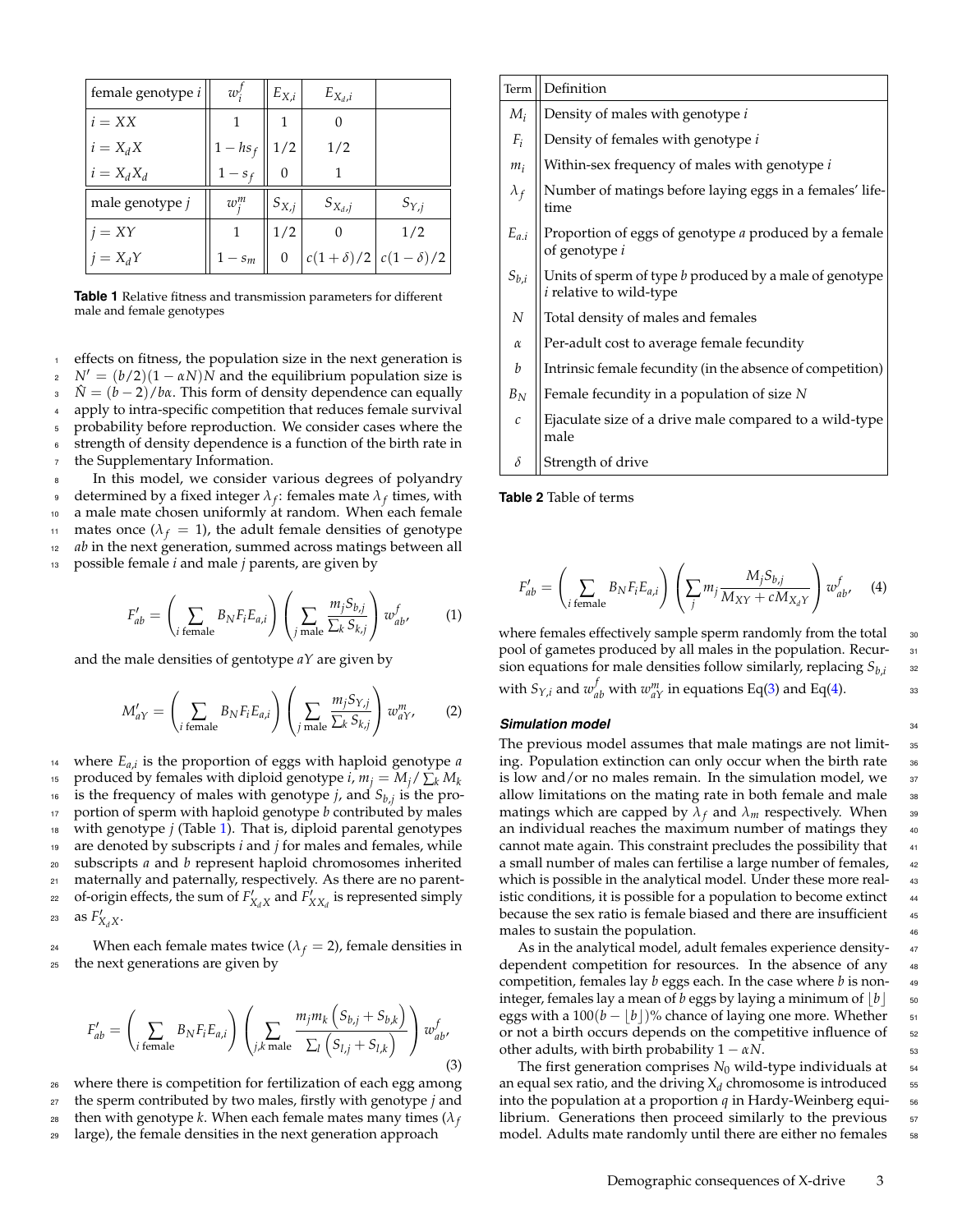<span id="page-2-0"></span>

| female genotype i | $w_i'$      | $E_{X,i}$ | $E_{X_d,i}$ |                                 |
|-------------------|-------------|-----------|-------------|---------------------------------|
| $i = XX$          |             | 1         | 0           |                                 |
| $i = X_d X$       | $1 - h s_f$ | 1/2       | 1/2         |                                 |
| $i = X_d X_d$     | $1 - s_f$   | $\Omega$  |             |                                 |
| male genotype j   | $w_i^m$     | $S_{X,j}$ | $S_{X_d,j}$ | $S_{Y,j}$                       |
| $i = XY$          |             | 1/2       |             | 1/2                             |
| $j = X_d Y$       | $1 - s_m$   | 0         |             | $c(1+\delta)/2$ $c(1-\delta)/2$ |

**Table 1** Relative fitness and transmission parameters for different male and female genotypes

effects on fitness, the population size in the next generation is  $N' = (b/2)(1 - \alpha N)N$  and the equilibrium population size is <sup>3</sup> *N*ˆ = (*b* − 2)/*bα*. This form of density dependence can equally apply to intra-specific competition that reduces female survival <sup>5</sup> probability before reproduction. We consider cases where the 6 strength of density dependence is a function of the birth rate in <sup>7</sup> the Supplementary Information.

In this model, we consider various degrees of polyandry  $\frac{1}{9}$  determined by a fixed integer  $\lambda_f$ : females mate  $\lambda_f$  times, with <sup>10</sup> a male mate chosen uniformly at random. When each female 11 mates once  $(\lambda_f = 1)$ , the adult female densities of genotype <sup>12</sup> *ab* in the next generation, summed across matings between all <sup>13</sup> possible female *i* and male *j* parents, are given by

$$
F'_{ab} = \left(\sum_{i \text{ female}} B_N F_i E_{a,i}\right) \left(\sum_{j \text{ male}} \frac{m_j S_{b,j}}{\sum_k S_{k,j}}\right) w_{ab'}^f \tag{1}
$$

and the male densities of gentotype *aY* are given by

$$
M'_{aY} = \left(\sum_{i \text{ female}} B_N F_i E_{a,i}\right) \left(\sum_{j \text{ male}} \frac{m_j S_{Y,j}}{\sum_k S_{k,j}}\right) w_{aY'}^m\tag{2}
$$

 $\mu$ <sup>14</sup> where  $E_{a,i}$  is the proportion of eggs with haploid genotype *a* produced by females with diploid genotype *i*,  $m_j = M_j / \sum_k M_k$ 15 <sup>16</sup> is the frequency of males with genotype *j*, and  $S_{b,j}$  is the pro-<sup>17</sup> portion of sperm with haploid genotype *b* contributed by males <sup>18</sup> with genotype *j* (Table [1\)](#page-2-0). That is, diploid parental genotypes <sup>19</sup> are denoted by subscripts *i* and *j* for males and females, while <sup>20</sup> subscripts *a* and *b* represent haploid chromosomes inherited <sup>21</sup> maternally and paternally, respectively. As there are no parent- $\sigma$  of-origin effects, the sum of  $F'_{X_dX}$  and  $F'_{XX_d}$  is represented simply 23 as  $F'_{X_dX}$ .

<sup>24</sup> When each female mates twice  $(\lambda_f = 2)$ , female densities in <sup>25</sup> the next generations are given by

<span id="page-2-1"></span>
$$
F'_{ab} = \left(\sum_{i \text{ female}} B_N F_i E_{a,i}\right) \left(\sum_{j,k \text{ male}} \frac{m_j m_k \left(S_{b,j} + S_{b,k}\right)}{\sum_l \left(S_{l,j} + S_{l,k}\right)}\right) w_{ab}^f,
$$
\n(3)

<sup>26</sup> where there is competition for fertilization of each egg among <sup>27</sup> the sperm contributed by two males, firstly with genotype *j* and then with genotype *k*. When each female mates many times ( $\lambda_f$ 28 <sup>29</sup> large), the female densities in the next generation approach

| Term              | Definition                                                                                |
|-------------------|-------------------------------------------------------------------------------------------|
| $M_i$             | Density of males with genotype i                                                          |
| $F_i$             | Density of females with genotype i                                                        |
| $m_i$             | Within-sex frequency of males with genotype i                                             |
| $\lambda_f$       | Number of matings before laying eggs in a females' life-<br>time                          |
| $E_{a,i}$         | Proportion of eggs of genotype a produced by a female<br>of genotype i                    |
| $S_{b,i}$         | Units of sperm of type b produced by a male of genotype<br><i>i</i> relative to wild-type |
| $\overline{N}$    | Total density of males and females                                                        |
| $\alpha$          | Per-adult cost to average female fecundity                                                |
| b                 | Intrinsic female fecundity (in the absence of competition)                                |
| $B_N$             | Female fecundity in a population of size N                                                |
| $\mathcal{C}_{0}$ | Ejaculate size of a drive male compared to a wild-type<br>male                            |
| $\delta$          | Strength of drive                                                                         |

**Table 2** Table of terms

<span id="page-2-2"></span>
$$
F'_{ab} = \left(\sum_{i \text{ female}} B_N F_i E_{a,i}\right) \left(\sum_j m_j \frac{M_j S_{b,j}}{M_{XY} + c M_{X_d Y}}\right) w_{ab}^f, \quad (4)
$$

where females effectively sample sperm randomly from the total 30 pool of gametes produced by all males in the population. Recur-<br>31 sion equations for male densities follow similarly, replacing *Sb*,*<sup>i</sup>* with  $S_{Y,i}$  and  $w_{ab}^f$  with  $w_{aY}^m$  in equations Eq[\(3\)](#page-2-1) and Eq[\(4\)](#page-2-2).  $\qquad \qquad$  33

32

#### **Simulation model** 34

The previous model assumes that male matings are not limit-<br>
35 ing. Population extinction can only occur when the birth rate 36 is low and/or no males remain. In the simulation model, we  $\frac{37}{2}$ allow limitations on the mating rate in both female and male 38 matings which are capped by  $\lambda_f$  and  $\lambda_m$  respectively. When 39 an individual reaches the maximum number of matings they 40 cannot mate again. This constraint precludes the possibility that 41 a small number of males can fertilise a large number of females, 42 which is possible in the analytical model. Under these more real-<br>43 istic conditions, it is possible for a population to become extinct 44 because the sex ratio is female biased and there are insufficient 45 males to sustain the population. <sup>46</sup>

As in the analytical model, adult females experience density-47 dependent competition for resources. In the absence of any 48 competition, females lay *b* eggs each. In the case where *b* is non- <sup>49</sup> integer, females lay a mean of *b* eggs by laying a minimum of  $\lfloor b \rfloor$  50 eggs with a  $100(b - |b|)$ % chance of laying one more. Whether 51 or not a birth occurs depends on the competitive influence of sz other adults, with birth probability  $1 - \alpha N$ . 53

The first generation comprises  $N_0$  wild-type individuals at  $\frac{54}{54}$ an equal sex ratio, and the driving  $\lambda_d$  chromosome is introduced  $_{55}$ into the population at a proportion  $q$  in Hardy-Weinberg equilibrium. Generations then proceed similarly to the previous 57 model. Adults mate randomly until there are either no females ss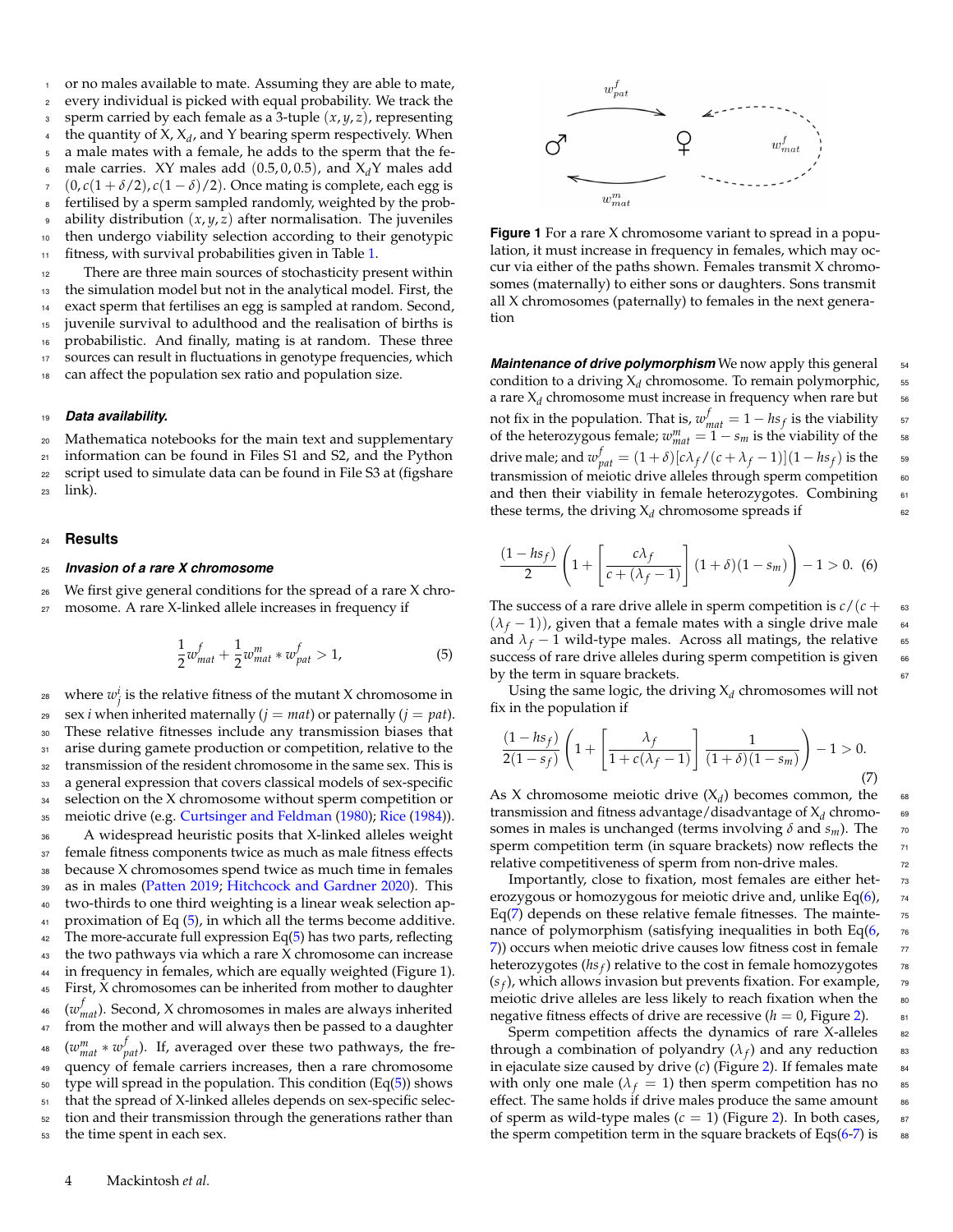or no males available to mate. Assuming they are able to mate, <sup>2</sup> every individual is picked with equal probability. We track the <sup>3</sup> sperm carried by each female as a 3-tuple (*x*, *y*, *z*), representing <sup>4</sup> the quantity of  $X$ ,  $X_d$ , and Y bearing sperm respectively. When <sup>5</sup> a male mates with a female, he adds to the sperm that the fe-6 male carries. XY males add  $(0.5, 0, 0.5)$ , and  $X_d$ Y males add  $7 \quad (0, c(1 + \delta/2), c(1 - \delta)/2)$ . Once mating is complete, each egg is <sup>8</sup> fertilised by a sperm sampled randomly, weighted by the prob-<sup>9</sup> ability distribution (*x*, *y*, *z*) after normalisation. The juveniles <sup>10</sup> then undergo viability selection according to their genotypic 11 fitness, with survival probabilities given in Table [1.](#page-2-0)

 There are three main sources of stochasticity present within the simulation model but not in the analytical model. First, the exact sperm that fertilises an egg is sampled at random. Second, juvenile survival to adulthood and the realisation of births is probabilistic. And finally, mating is at random. These three sources can result in fluctuations in genotype frequencies, which can affect the population sex ratio and population size.

#### <sup>19</sup> *Data availability.*

 Mathematica notebooks for the main text and supplementary information can be found in Files S1 and S2, and the Python script used to simulate data can be found in File S3 at (figshare <sup>23</sup> link).

#### <sup>24</sup> **Results**

#### <sup>25</sup> *Invasion of a rare X chromosome*

<sup>26</sup> We first give general conditions for the spread of a rare X chro-

<sup>27</sup> mosome. A rare X-linked allele increases in frequency if

<span id="page-3-0"></span>
$$
\frac{1}{2}w_{mat}^f + \frac{1}{2}w_{mat}^m * w_{pat}^f > 1,
$$
\n(5)

<sup>28</sup> where  $w_j^i$  is the relative fitness of the mutant X chromosome in 29 sex *i* when inherited maternally  $(j = mat)$  or paternally  $(j = pat)$ . These relative fitnesses include any transmission biases that 31 arise during gamete production or competition, relative to the transmission of the resident chromosome in the same sex. This is a general expression that covers classical models of sex-specific selection on the X chromosome without sperm competition or meiotic drive (e.g. [Curtsinger and Feldman](#page-9-4) [\(1980\)](#page-9-4); [Rice](#page-10-25) [\(1984\)](#page-10-25)). A widespread heuristic posits that X-linked alleles weight 37 female fitness components twice as much as male fitness effects because X chromosomes spend twice as much time in females as in males [\(Patten](#page-10-22) [2019;](#page-10-22) [Hitchcock and Gardner](#page-10-23) [2020\)](#page-10-23). This two-thirds to one third weighting is a linear weak selection ap- proximation of Eq [\(5\)](#page-3-0), in which all the terms become additive. <sup>42</sup> The more-accurate full expression Eq $(5)$  has two parts, reflecting the two pathways via which a rare X chromosome can increase in frequency in females, which are equally weighted (Figure 1). First, X chromosomes can be inherited from mother to daughter <sup>46</sup> ( $w_{mat}^f$ ). Second, X chromosomes in males are always inherited 47 from the mother and will always then be passed to a daughter <sup>48</sup> ( $w_{mat}^m * w_{pat}^f$ ). If, averaged over these two pathways, the fre- quency of female carriers increases, then a rare chromosome type will spread in the population. This condition (Eq[\(5\)](#page-3-0)) shows that the spread of X-linked alleles depends on sex-specific selec- tion and their transmission through the generations rather than the time spent in each sex.

<span id="page-3-3"></span>

**Figure 1** For a rare X chromosome variant to spread in a population, it must increase in frequency in females, which may occur via either of the paths shown. Females transmit X chromosomes (maternally) to either sons or daughters. Sons transmit all X chromosomes (paternally) to females in the next generation

*Maintenance of drive polymorphism* We now apply this general set condition to a driving  $X_d$  chromosome. To remain polymorphic, ss a rare  $X_d$  chromosome must increase in frequency when rare but s<sub>6</sub> not fix in the population. That is,  $w_{mat}^f = 1 - h s_f$  is the viability 57 of the heterozygous female;  $w_{mat}^m = 1 - s_m$  is the viability of the 58 drive male; and  $w_{pat}^f = (1+\delta)[c\lambda_f/(c+\lambda_f-1)](1-hs_f)$  is the s<sub>9</sub> transmission of meiotic drive alleles through sperm competition 60 and then their viability in female heterozygotes. Combining  $61$ these terms, the driving  $X_d$  chromosome spreads if  $\qquad \qquad \text{62}$ 

<span id="page-3-1"></span>
$$
\frac{(1-hs_f)}{2}\left(1+\left[\frac{c\lambda_f}{c+(\lambda_f-1)}\right](1+\delta)(1-s_m)\right)-1>0.
$$
 (6)

The success of a rare drive allele in sperm competition is  $c/(c + \epsilon)$  $(\lambda_f - 1)$ ), given that a female mates with a single drive male 64<br>and  $\lambda_f - 1$  wild-type males. Across all matings, the relative and  $\lambda_f$  − 1 wild-type males. Across all matings, the relative success of rare drive alleles during sperm competition is given 66 by the term in square brackets.  $\epsilon$ 

Using the same logic, the driving  $X_d$  chromosomes will not fix in the population if

<span id="page-3-2"></span>
$$
\frac{(1-hs_f)}{2(1-s_f)}\left(1+\left[\frac{\lambda_f}{1+c(\lambda_f-1)}\right]\frac{1}{(1+\delta)(1-s_m)}\right)-1>0.
$$
\n(7)

As X chromosome meiotic drive  $(X_d)$  becomes common, the  $\sim$  68 transmission and fitness advantage/disadvantage of X*<sup>d</sup>* chromo- <sup>69</sup> somes in males is unchanged (terms involving  $\delta$  and  $s_m$ ). The  $\tau$ sperm competition term (in square brackets) now reflects the 71 relative competitiveness of sperm from non-drive males.  $\frac{7}{2}$ 

Importantly, close to fixation, most females are either het-<br>  $\frac{1}{2}$ erozygous or homozygous for meiotic drive and, unlike Eq[\(6\)](#page-3-1),  $\frac{7}{4}$ Eq[\(7\)](#page-3-2) depends on these relative female fitnesses. The mainte- $<sub>75</sub>$ </sub> nance of polymorphism (satisfying inequalities in both Eq $(6, 76)$  $(6, 76)$  $(7)$  $(7)$ ) occurs when meiotic drive causes low fitness cost in female  $77$ heterozygotes (*hs<sub>f</sub>*) relative to the cost in female homozygotes  $\frac{1}{78}$  $(s_f)$ , which allows invasion but prevents fixation. For example,  $\qquad \tau_9$ meiotic drive alleles are less likely to reach fixation when the so negative fitness effects of drive are recessive  $(h = 0,$  Figure [2\)](#page-4-0).  $\qquad \qquad$ <sup>81</sup>

Sperm competition affects the dynamics of rare  $X$ -alleles  $\quad$  82 through a combination of polyandry  $(\lambda_f)$  and any reduction  $\quad$  83 in ejaculate size caused by drive  $(c)$  (Figure [2\)](#page-4-0). If females mate  $\frac{1}{8}$ with only one male ( $\lambda_f = 1$ ) then sperm competition has no  $\delta$ effect. The same holds if drive males produce the same amount as of sperm as wild-type males  $(c = 1)$  (Figure [2\)](#page-4-0). In both cases,  $87$ the sperm competition term in the square brackets of Eqs $(6-7)$  $(6-7)$  is 88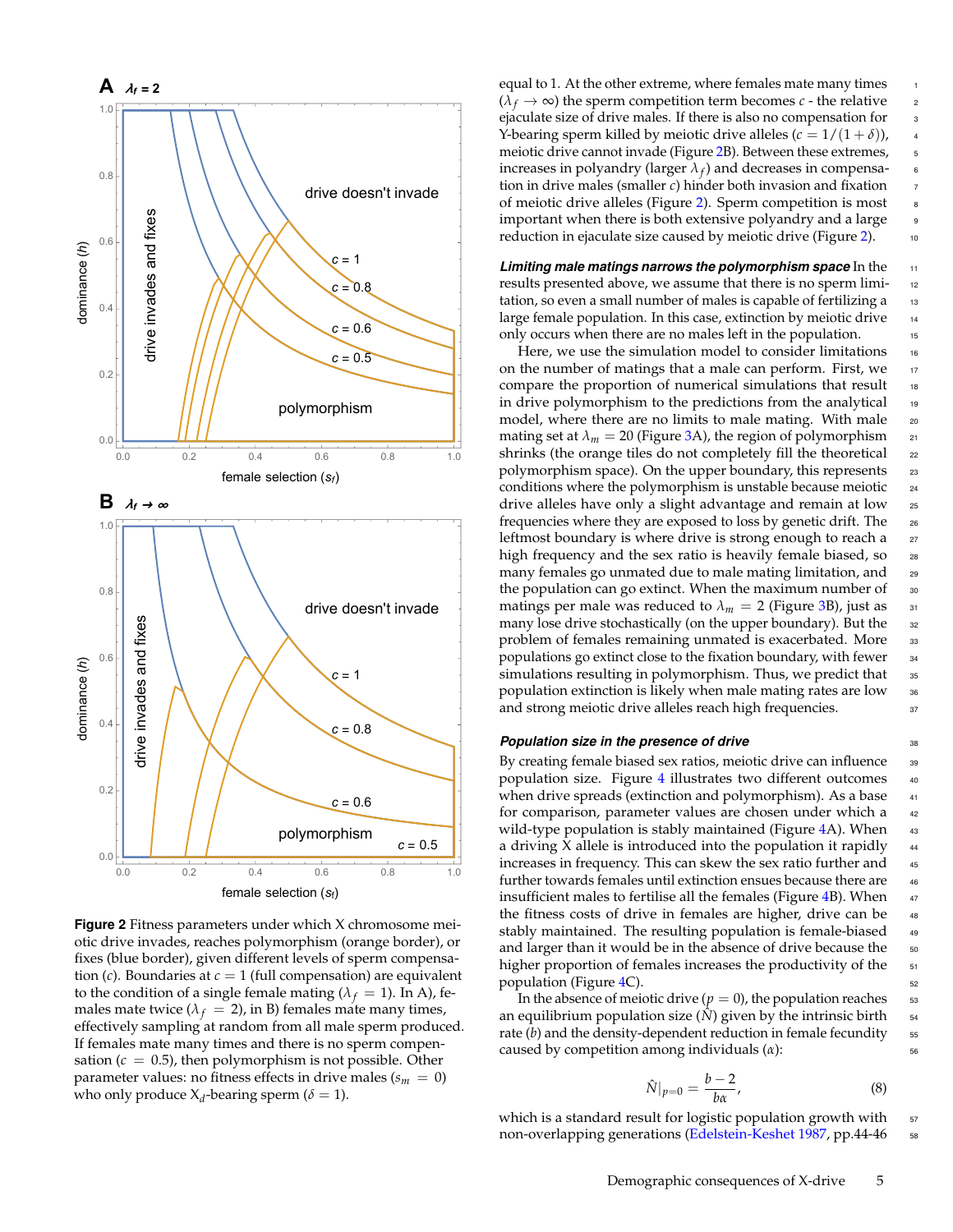<span id="page-4-0"></span>

**Figure 2** Fitness parameters under which X chromosome meiotic drive invades, reaches polymorphism (orange border), or fixes (blue border), given different levels of sperm compensation  $(c)$ . Boundaries at  $c = 1$  (full compensation) are equivalent to the condition of a single female mating ( $\lambda_f = 1$ ). In A), females mate twice ( $\lambda_f = 2$ ), in B) females mate many times, effectively sampling at random from all male sperm produced. If females mate many times and there is no sperm compensation  $(c = 0.5)$ , then polymorphism is not possible. Other parameter values: no fitness effects in drive males ( $s_m = 0$ ) who only produce  $X_d$ -bearing sperm ( $\delta = 1$ ).

equal to 1. At the other extreme, where females mate many times <sup>1</sup>  $(\lambda_f \rightarrow \infty)$  the sperm competition term becomes *c* - the relative 2 ejaculate size of drive males. If there is also no compensation for 3 Y-bearing sperm killed by meiotic drive alleles  $(c = 1/(1 + \delta))$ , meiotic drive cannot invade (Figure [2B](#page-4-0)). Between these extremes, 5 increases in polyandry (larger  $\lambda_f$ ) and decreases in compensa- 6 tion in drive males (smaller *c*) hinder both invasion and fixation <sup>7</sup> of meiotic drive alleles (Figure [2\)](#page-4-0). Sperm competition is most <sup>8</sup> important when there is both extensive polyandry and a large 9 reduction in ejaculate size caused by meiotic drive (Figure [2\)](#page-4-0). 10

*Limiting male matings narrows the polymorphism space* In the <sup>11</sup> results presented above, we assume that there is no sperm limi- <sup>12</sup> tation, so even a small number of males is capable of fertilizing a 13 large female population. In this case, extinction by meiotic drive 14 only occurs when there are no males left in the population. 15

Here, we use the simulation model to consider limitations  $\frac{16}{16}$ on the number of matings that a male can perform. First, we 17 compare the proportion of numerical simulations that result 18 in drive polymorphism to the predictions from the analytical 19 model, where there are no limits to male mating. With male 20 mating set at  $\lambda_m = 20$  (Figure [3A](#page-5-0)), the region of polymorphism 21 shrinks (the orange tiles do not completely fill the theoretical 22 polymorphism space). On the upper boundary, this represents 23 conditions where the polymorphism is unstable because meiotic 24 drive alleles have only a slight advantage and remain at low <sup>25</sup> frequencies where they are exposed to loss by genetic drift. The <sup>26</sup> leftmost boundary is where drive is strong enough to reach a 27 high frequency and the sex ratio is heavily female biased, so 28 many females go unmated due to male mating limitation, and 29 the population can go extinct. When the maximum number of 30 matings per male was reduced to  $\lambda_m = 2$  (Figure [3B](#page-5-0)), just as 31 many lose drive stochastically (on the upper boundary). But the 32 problem of females remaining unmated is exacerbated. More 33 populations go extinct close to the fixation boundary, with fewer 34 simulations resulting in polymorphism. Thus, we predict that 35 population extinction is likely when male mating rates are low 36 and strong meiotic drive alleles reach high frequencies. 37

#### **Population size in the presence of drive 38**

By creating female biased sex ratios, meiotic drive can influence 39 population size. Figure [4](#page-5-1) illustrates two different outcomes 40 when drive spreads (extinction and polymorphism). As a base  $41$ for comparison, parameter values are chosen under which a 42 wild-type population is stably maintained (Figure  $4A$ ). When  $43$ a driving  $X$  allele is introduced into the population it rapidly  $44$ increases in frequency. This can skew the sex ratio further and 45 further towards females until extinction ensues because there are 46 insufficient males to fertilise all the females (Figure  $4B$ ). When  $47$ the fitness costs of drive in females are higher, drive can be 48 stably maintained. The resulting population is female-biased 49 and larger than it would be in the absence of drive because the 50 higher proportion of females increases the productivity of the 51 population (Figure [4C](#page-5-1)).  $\frac{1}{2}$  52

In the absence of meiotic drive ( $p = 0$ ), the population reaches  $\frac{1}{53}$ an equilibrium population size  $(\hat{N})$  given by the intrinsic birth  $\frac{54}{100}$ rate  $(b)$  and the density-dependent reduction in female fecundity  $55$ caused by competition among individuals (*α*): 56

<span id="page-4-1"></span>
$$
\hat{N}|_{p=0} = \frac{b-2}{b\alpha},\tag{8}
$$

which is a standard result for logistic population growth with 57 non-overlapping generations [\(Edelstein-Keshet](#page-9-9) [1987,](#page-9-9) pp.44-46 ss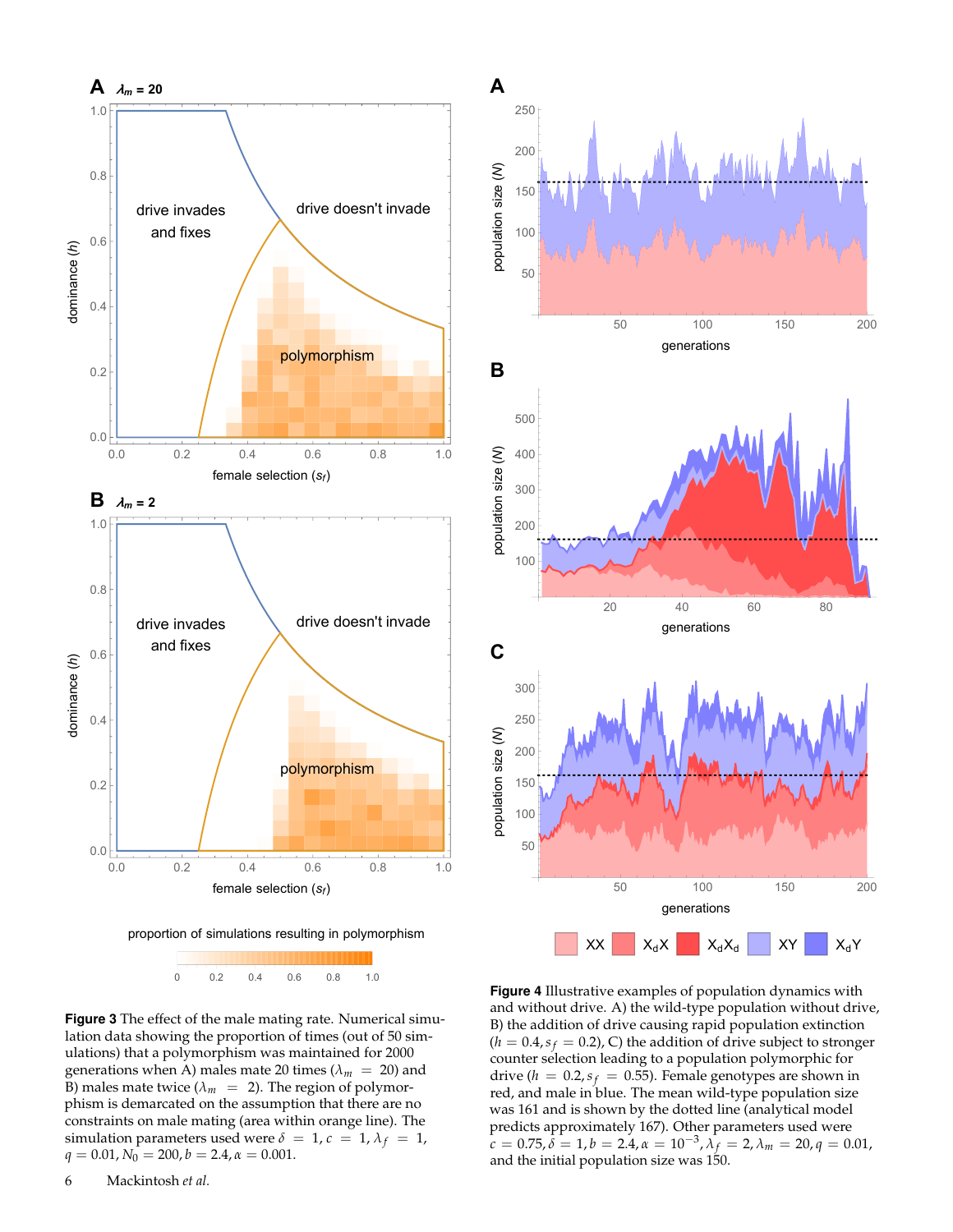<span id="page-5-0"></span>



**Figure 3** The effect of the male mating rate. Numerical simulation data showing the proportion of times (out of 50 simulations) that a polymorphism was maintained for 2000 generations when A) males mate 20 times ( $\lambda_m$  = 20) and B) males mate twice ( $\lambda_m$  = 2). The region of polymorphism is demarcated on the assumption that there are no constraints on male mating (area within orange line). The simulation parameters used were  $\delta = 1$ ,  $c = 1$ ,  $\lambda_f = 1$ ,  $q = 0.01, N_0 = 200, b = 2.4, \alpha = 0.001.$ 

<span id="page-5-1"></span>

**Figure 4** Illustrative examples of population dynamics with and without drive. A) the wild-type population without drive, B) the addition of drive causing rapid population extinction  $(h = 0.4, s_f = 0.2)$ , C) the addition of drive subject to stronger counter selection leading to a population polymorphic for drive ( $h = 0.2$ ,  $s_f = 0.55$ ). Female genotypes are shown in red, and male in blue. The mean wild-type population size was 161 and is shown by the dotted line (analytical model predicts approximately 167). Other parameters used were  $\hat{c} = 0.75, \hat{\delta} = 1, b = 2.4, \alpha = 10^{-3}, \lambda_f = 2, \lambda_m = 20, q = 0.01,$ and the initial population size was 150.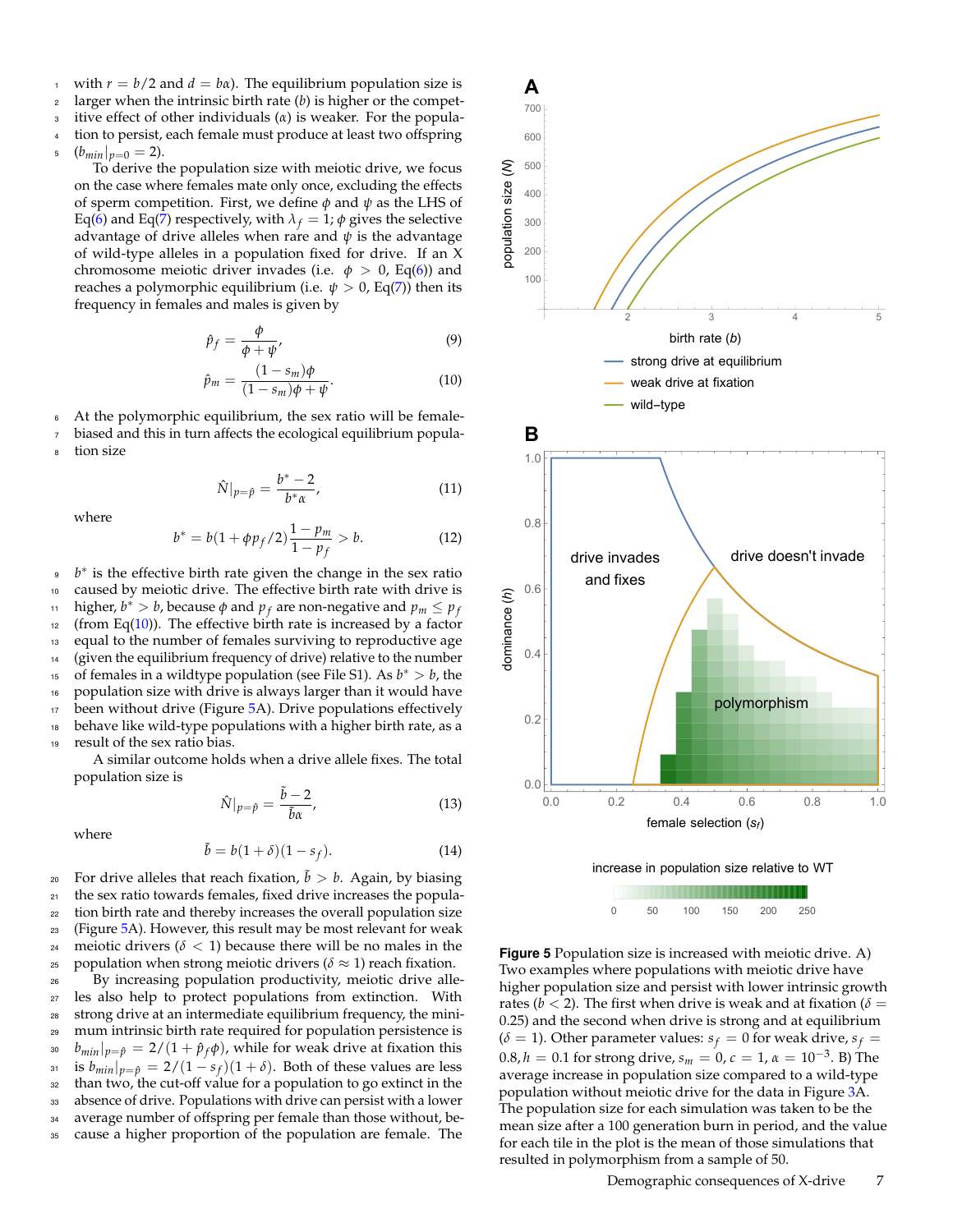with  $r = b/2$  and  $d = b\alpha$ ). The equilibrium population size is

 $2<sub>2</sub>$  larger when the intrinsic birth rate (*b*) is higher or the compet-

itive effect of other individuals  $(\alpha)$  is weaker. For the population to persist, each female must produce at least two offspring

5  $(b_{min}|_{p=0}=2)$ .

To derive the population size with meiotic drive, we focus on the case where females mate only once, excluding the effects of sperm competition. First, we define *φ* and *ψ* as the LHS of Eq[\(6\)](#page-3-1) and Eq[\(7\)](#page-3-2) respectively, with  $\lambda_f = 1$ ;  $\phi$  gives the selective advantage of drive alleles when rare and *ψ* is the advantage of wild-type alleles in a population fixed for drive. If an X chromosome meiotic driver invades (i.e.  $\phi > 0$ , Eq[\(6\)](#page-3-1)) and reaches a polymorphic equilibrium (i.e.  $\psi > 0$ , Eq[\(7\)](#page-3-2)) then its frequency in females and males is given by

$$
\hat{p}_f = \frac{\phi}{\phi + \psi'},\tag{9}
$$

<span id="page-6-0"></span>
$$
\hat{p}_m = \frac{(1 - s_m)\phi}{(1 - s_m)\phi + \psi}.
$$
\n(10)

<sup>6</sup> At the polymorphic equilibrium, the sex ratio will be female-

biased and this in turn affects the ecological equilibrium popula-

tion size

$$
\hat{N}|_{p=\hat{p}} = \frac{b^*-2}{b^*\alpha},\tag{11}
$$

where

<span id="page-6-2"></span>
$$
b^* = b(1 + \phi p_f/2) \frac{1 - p_m}{1 - p_f} > b.
$$
 (12)

<sup>9</sup> *b*<sup>\*</sup> is the effective birth rate given the change in the sex ratio <sup>10</sup> caused by meiotic drive. The effective birth rate with drive is higher,  $b^* > b$ , because  $\phi$  and  $p_f$  are non-negative and  $p_m \leq p_f$ 11  $12$  (from Eq[\(10\)](#page-6-0)). The effective birth rate is increased by a factor <sup>13</sup> equal to the number of females surviving to reproductive age <sup>14</sup> (given the equilibrium frequency of drive) relative to the number <sup>15</sup> of females in a wildtype population (see File S1). As  $b^* > b$ , the <sup>16</sup> population size with drive is always larger than it would have 17 been without drive (Figure [5A](#page-6-1)). Drive populations effectively <sup>18</sup> behave like wild-type populations with a higher birth rate, as a <sup>19</sup> result of the sex ratio bias.

A similar outcome holds when a drive allele fixes. The total population size is

$$
\hat{N}|_{p=\hat{p}} = \frac{\tilde{b}-2}{\tilde{b}\alpha},\tag{13}
$$

where

<span id="page-6-3"></span>
$$
\tilde{b} = b(1+\delta)(1-s_f). \tag{14}
$$

20 For drive alleles that reach fixation,  $\tilde{b} > b$ . Again, by biasing <sup>21</sup> the sex ratio towards females, fixed drive increases the popula-<sup>22</sup> tion birth rate and thereby increases the overall population size <sup>23</sup> (Figure [5A](#page-6-1)). However, this result may be most relevant for weak 24 meiotic drivers  $(\delta < 1)$  because there will be no males in the <sup>25</sup> population when strong meiotic drivers ( $\delta \approx 1$ ) reach fixation.

 By increasing population productivity, meiotic drive alle- les also help to protect populations from extinction. With strong drive at an intermediate equilibrium frequency, the mini- mum intrinsic birth rate required for population persistence is <sup>30</sup>  $b_{min}|_{p=\hat{p}} = 2/(1 + \hat{p}_f \phi)$ , while for weak drive at fixation this <sup>31</sup> is  $b_{min}|_{p=\hat{p}} = 2/(1-s_f)(1+\delta)$ . Both of these values are less than two, the cut-off value for a population to go extinct in the absence of drive. Populations with drive can persist with a lower average number of offspring per female than those without, be-

<sup>35</sup> cause a higher proportion of the population are female. The

<span id="page-6-1"></span>





**Figure 5** Population size is increased with meiotic drive. A) Two examples where populations with meiotic drive have higher population size and persist with lower intrinsic growth rates ( $b < 2$ ). The first when drive is weak and at fixation ( $\delta =$ 0.25) and the second when drive is strong and at equilibrium  $(\delta = 1)$ . Other parameter values:  $s_f = 0$  for weak drive,  $s_f =$  $0.8, h = 0.1$  for strong drive,  $s_m = 0, c = 1, \alpha = 10^{-3}$ . B) The average increase in population size compared to a wild-type population without meiotic drive for the data in Figure [3A](#page-5-0). The population size for each simulation was taken to be the mean size after a 100 generation burn in period, and the value for each tile in the plot is the mean of those simulations that resulted in polymorphism from a sample of 50.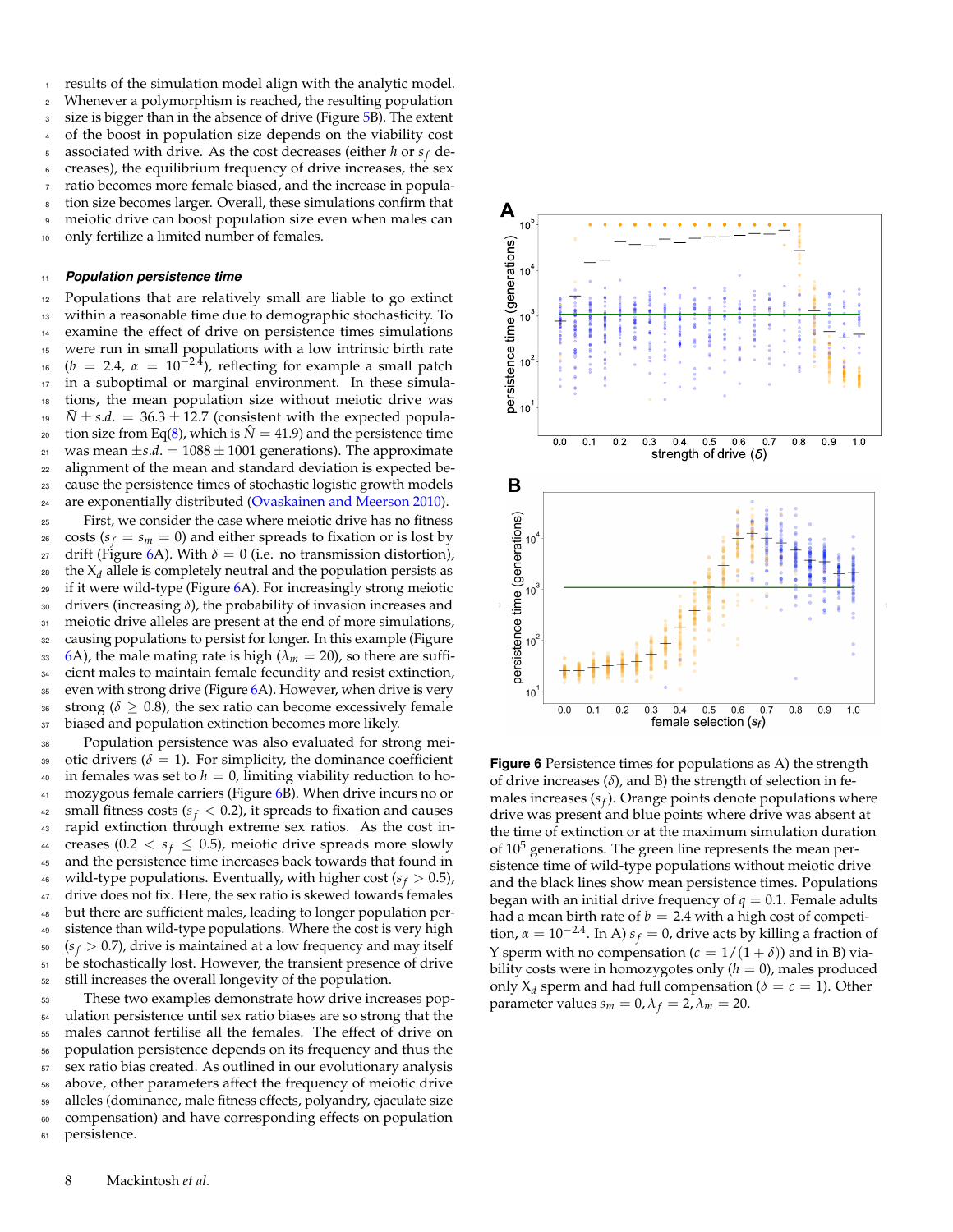results of the simulation model align with the analytic model. <sup>2</sup> Whenever a polymorphism is reached, the resulting population <sup>3</sup> size is bigger than in the absence of drive (Figure [5B](#page-6-1)). The extent of the boost in population size depends on the viability cost  $s$  associated with drive. As the cost decreases (either *h* or  $s_f$  de-<sup>6</sup> creases), the equilibrium frequency of drive increases, the sex <sup>7</sup> ratio becomes more female biased, and the increase in population size becomes larger. Overall, these simulations confirm that <sup>9</sup> meiotic drive can boost population size even when males can <sup>10</sup> only fertilize a limited number of females.

#### <sup>11</sup> *Population persistence time*

 Populations that are relatively small are liable to go extinct within a reasonable time due to demographic stochasticity. To examine the effect of drive on persistence times simulations were run in small populations with a low intrinsic birth rate <sup>16</sup> (*b* = 2.4,  $\alpha$  = 10<sup>-2.4</sup>), reflecting for example a small patch in a suboptimal or marginal environment. In these simula- tions, the mean population size without meiotic drive was *N*  $\pm$  *s.d.* = 36.3  $\pm$  12.7 (consistent with the expected popula- $\alpha$  tion size from Eq[\(8\)](#page-4-1), which is  $\hat{N} = 41.9$  and the persistence time <sup>21</sup> was mean  $\pm s.d. = 1088 \pm 1001$  generations). The approximate alignment of the mean and standard deviation is expected be- cause the persistence times of stochastic logistic growth models are exponentially distributed [\(Ovaskainen and Meerson](#page-10-26) [2010\)](#page-10-26). First, we consider the case where meiotic drive has no fitness  $\cos$  costs ( $s_f = s_m = 0$ ) and either spreads to fixation or is lost by *z* drift (Figure [6A](#page-7-0)). With  $\delta = 0$  (i.e. no transmission distortion), the  $X_d$  allele is completely neutral and the population persists as if it were wild-type (Figure [6A](#page-7-0)). For increasingly strong meiotic drivers (increasing *δ*), the probability of invasion increases and 31 meiotic drive alleles are present at the end of more simulations, causing populations to persist for longer. In this example (Figure [6A](#page-7-0)), the male mating rate is high ( $\lambda_m = 20$ ), so there are suffi- cient males to maintain female fecundity and resist extinction, 35 even with strong drive (Figure [6A](#page-7-0)). However, when drive is very 36 strong ( $\delta \geq 0.8$ ), the sex ratio can become excessively female 37 biased and population extinction becomes more likely.

<sup>38</sup> Population persistence was also evaluated for strong mei-39 otic drivers ( $\delta = 1$ ). For simplicity, the dominance coefficient  $40$  in females was set to  $h = 0$ , limiting viability reduction to ho-41 mozygous female carriers (Figure [6B](#page-7-0)). When drive incurs no or <sup>42</sup> small fitness costs ( $s_f < 0.2$ ), it spreads to fixation and causes <sup>43</sup> rapid extinction through extreme sex ratios. As the cost in-<sup>44</sup> creases (0.2  $\lt s_f \leq$  0.5), meiotic drive spreads more slowly <sup>45</sup> and the persistence time increases back towards that found in <sup>46</sup> wild-type populations. Eventually, with higher cost  $(s_f > 0.5)$ , 47 drive does not fix. Here, the sex ratio is skewed towards females <sup>48</sup> but there are sufficient males, leading to longer population per-<sup>49</sup> sistence than wild-type populations. Where the cost is very high  $s_0$   $(s_f > 0.7)$ , drive is maintained at a low frequency and may itself <sup>51</sup> be stochastically lost. However, the transient presence of drive <sup>52</sup> still increases the overall longevity of the population.

 These two examples demonstrate how drive increases pop- ulation persistence until sex ratio biases are so strong that the males cannot fertilise all the females. The effect of drive on population persistence depends on its frequency and thus the sex ratio bias created. As outlined in our evolutionary analysis above, other parameters affect the frequency of meiotic drive alleles (dominance, male fitness effects, polyandry, ejaculate size compensation) and have corresponding effects on population

<span id="page-7-0"></span>

**Figure 6** Persistence times for populations as A) the strength of drive increases  $(\delta)$ , and B) the strength of selection in females increases (*s<sup>f</sup>* ). Orange points denote populations where drive was present and blue points where drive was absent at the time of extinction or at the maximum simulation duration of  $10<sup>5</sup>$  generations. The green line represents the mean persistence time of wild-type populations without meiotic drive and the black lines show mean persistence times. Populations began with an initial drive frequency of  $q=0.1.$  Female adults had a mean birth rate of  $b = 2.4$  with a high cost of competition,  $\alpha = 10^{-2.4}$ . In A)  $s_f = 0$ , drive acts by killing a fraction of Y sperm with no compensation  $(c = 1/(1 + \delta))$  and in B) viability costs were in homozygotes only  $(h = 0)$ , males produced only  $X_d$  sperm and had full compensation ( $\delta = c = 1$ ). Other parameter values  $s_m = 0$ ,  $\lambda_f = 2$ ,  $\lambda_m = 20$ .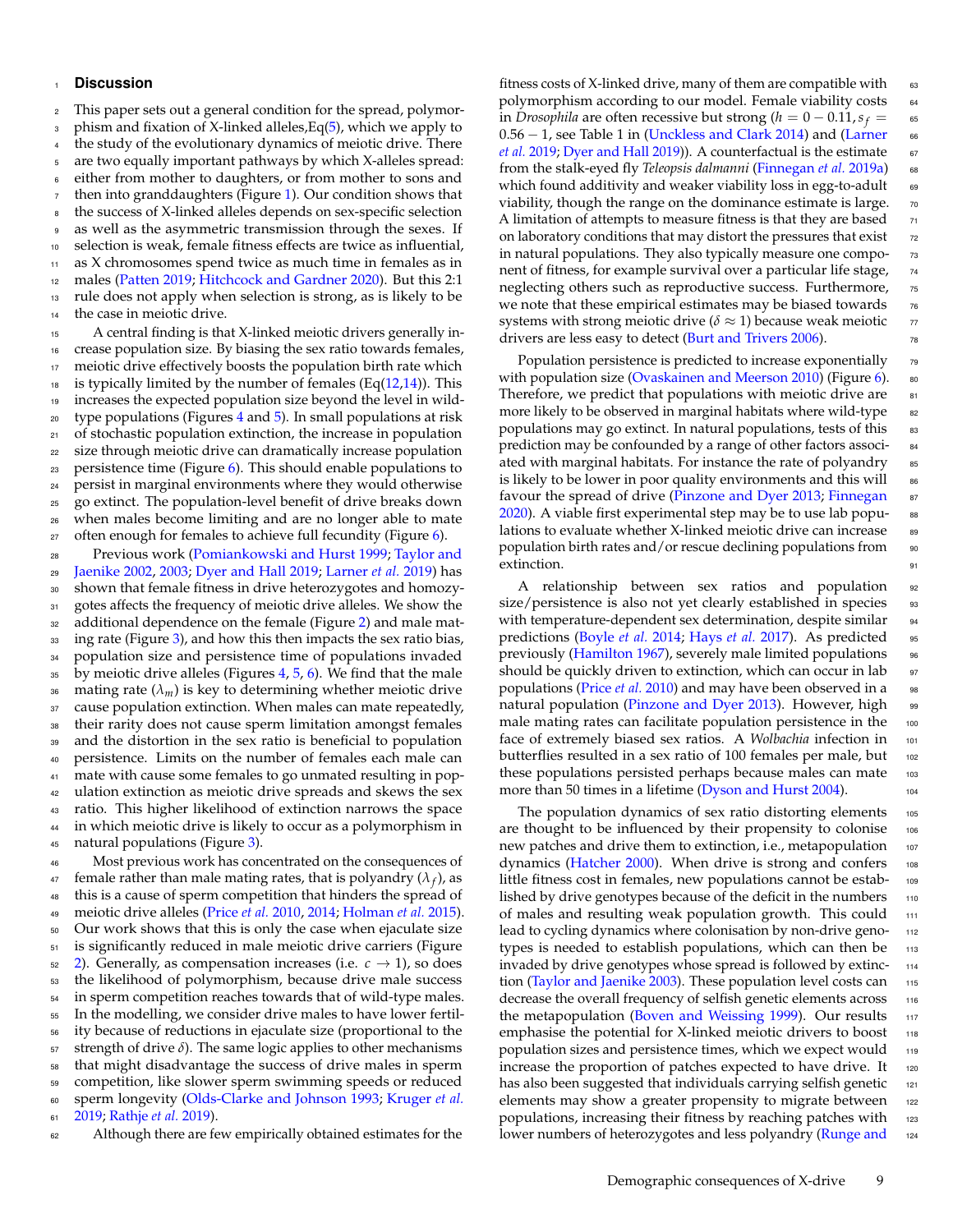#### <sup>1</sup> **Discussion**

 This paper sets out a general condition for the spread, polymor-<sup>3</sup> phism and fixation of X-linked alleles,  $Eq(5)$  $Eq(5)$ , which we apply to the study of the evolutionary dynamics of meiotic drive. There are two equally important pathways by which X-alleles spread: 6 either from mother to daughters, or from mother to sons and then into granddaughters (Figure [1\)](#page-3-3). Our condition shows that the success of X-linked alleles depends on sex-specific selection as well as the asymmetric transmission through the sexes. If selection is weak, female fitness effects are twice as influential, as X chromosomes spend twice as much time in females as in males [\(Patten](#page-10-22) [2019;](#page-10-22) [Hitchcock and Gardner](#page-10-23) [2020\)](#page-10-23). But this 2:1 rule does not apply when selection is strong, as is likely to be the case in meiotic drive.

 A central finding is that X-linked meiotic drivers generally in- crease population size. By biasing the sex ratio towards females, 17 meiotic drive effectively boosts the population birth rate which 18 is typically limited by the number of females  $(Eq(12,14))$  $(Eq(12,14))$  $(Eq(12,14))$  $(Eq(12,14))$ . This increases the expected population size beyond the level in wild- type populations (Figures [4](#page-5-1) and [5\)](#page-6-1). In small populations at risk of stochastic population extinction, the increase in population size through meiotic drive can dramatically increase population persistence time (Figure [6\)](#page-7-0). This should enable populations to persist in marginal environments where they would otherwise go extinct. The population-level benefit of drive breaks down when males become limiting and are no longer able to mate 27 often enough for females to achieve full fecundity (Figure  $6$ ).

 Previous work [\(Pomiankowski and Hurst](#page-10-10) [1999;](#page-10-10) [Taylor and](#page-11-4) [Jaenike](#page-11-4) [2002,](#page-11-4) [2003;](#page-11-5) [Dyer and Hall](#page-9-6) [2019;](#page-9-6) [Larner](#page-10-12) *et al.* [2019\)](#page-10-12) has shown that female fitness in drive heterozygotes and homozy-31 gotes affects the frequency of meiotic drive alleles. We show the additional dependence on the female (Figure [2\)](#page-4-0) and male mat- ing rate (Figure [3\)](#page-5-0), and how this then impacts the sex ratio bias, population size and persistence time of populations invaded by meiotic drive alleles (Figures [4,](#page-5-1) [5,](#page-6-1) [6\)](#page-7-0). We find that the male 36 mating rate  $(\lambda_m)$  is key to determining whether meiotic drive 37 cause population extinction. When males can mate repeatedly, their rarity does not cause sperm limitation amongst females and the distortion in the sex ratio is beneficial to population persistence. Limits on the number of females each male can mate with cause some females to go unmated resulting in pop- ulation extinction as meiotic drive spreads and skews the sex ratio. This higher likelihood of extinction narrows the space in which meiotic drive is likely to occur as a polymorphism in 45 natural populations (Figure [3\)](#page-5-0).

 Most previous work has concentrated on the consequences of  $\frac{47}{47}$  female rather than male mating rates, that is polyandry  $(\lambda_f)$ , as this is a cause of sperm competition that hinders the spread of meiotic drive alleles [\(Price](#page-10-27) *et al.* [2010,](#page-10-27) [2014;](#page-10-9) [Holman](#page-10-18) *et al.* [2015\)](#page-10-18). Our work shows that this is only the case when ejaculate size is significantly reduced in male meiotic drive carriers (Figure [2\)](#page-4-0). Generally, as compensation increases (i.e.  $c \rightarrow 1$ ), so does the likelihood of polymorphism, because drive male success in sperm competition reaches towards that of wild-type males. In the modelling, we consider drive males to have lower fertil- ity because of reductions in ejaculate size (proportional to the strength of drive *δ*). The same logic applies to other mechanisms that might disadvantage the success of drive males in sperm competition, like slower sperm swimming speeds or reduced sperm longevity [\(Olds-Clarke and Johnson](#page-10-28) [1993;](#page-10-28) [Kruger](#page-10-29) *et al.* [2019;](#page-10-29) [Rathje](#page-10-30) *et al.* [2019\)](#page-10-30).

<sup>62</sup> Although there are few empirically obtained estimates for the

fitness costs of X-linked drive, many of them are compatible with  $\qquad$  63 polymorphism according to our model. Female viability costs 64 in *Drosophila* are often recessive but strong  $(h = 0 - 0.11, s_f = 65$ [0](#page-10-12).56 − 1, see Table 1 in [\(Unckless and Clark](#page-11-7) [2014\)](#page-11-7) and [\(Larner](#page-10-12) 66 *[et al.](#page-10-12)* [2019;](#page-10-12) [Dyer and Hall](#page-9-6) [2019\)](#page-9-6)). A counterfactual is the estimate 67 from the stalk-eyed fly *Teleopsis dalmanni* [\(Finnegan](#page-10-31) *et al.* [2019a\)](#page-10-31) <sup>68</sup> which found additivity and weaker viability loss in egg-to-adult 69 viability, though the range on the dominance estimate is large.  $70$ A limitation of attempts to measure fitness is that they are based  $<sub>71</sub>$ </sub> on laboratory conditions that may distort the pressures that exist  $\frac{72}{2}$ in natural populations. They also typically measure one compo-<br>
<sub>73</sub> nent of fitness, for example survival over a particular life stage,  $74$ neglecting others such as reproductive success. Furthermore,  $\frac{75}{10}$ we note that these empirical estimates may be biased towards  $76$ systems with strong meiotic drive ( $\delta \approx 1$ ) because weak meiotic  $\tau$ drivers are less easy to detect [\(Burt and Trivers](#page-9-0) [2006\)](#page-9-0). <sup>78</sup>

Population persistence is predicted to increase exponentially  $\frac{79}{2}$ with population size [\(Ovaskainen and Meerson](#page-10-26) [2010\)](#page-10-26) (Figure  $6$ ). 80 Therefore, we predict that populations with meiotic drive are  $81$ more likely to be observed in marginal habitats where wild-type az populations may go extinct. In natural populations, tests of this as prediction may be confounded by a range of other factors associated with marginal habitats. For instance the rate of polyandry is likely to be lower in poor quality environments and this will  $\frac{1}{86}$ favour the spread of drive [\(Pinzone and Dyer](#page-10-32) [2013;](#page-10-32) [Finnegan](#page-9-10) 87  $2020$ ). A viable first experimental step may be to use lab popu- 88 lations to evaluate whether X-linked meiotic drive can increase as population birth rates and/or rescue declining populations from so extinction. 91

A relationship between sex ratios and population size/persistence is also not yet clearly established in species 93 with temperature-dependent sex determination, despite similar 94 predictions [\(Boyle](#page-9-8) *et al.* [2014;](#page-9-8) [Hays](#page-10-33) *et al.* [2017\)](#page-10-33). As predicted <sup>95</sup> previously [\(Hamilton](#page-10-6) [1967\)](#page-10-6), severely male limited populations  $\frac{1}{96}$ should be quickly driven to extinction, which can occur in lab  $\frac{97}{97}$ populations [\(Price](#page-10-27) *et al.* [2010\)](#page-10-27) and may have been observed in a natural population [\(Pinzone and Dyer](#page-10-32) [2013\)](#page-10-32). However, high male mating rates can facilitate population persistence in the 100 face of extremely biased sex ratios. A *Wolbachia* infection in <sup>101</sup> butterflies resulted in a sex ratio of 100 females per male, but 102 these populations persisted perhaps because males can mate 103 more than 50 times in a lifetime [\(Dyson and Hurst](#page-9-7) [2004\)](#page-9-7).

The population dynamics of sex ratio distorting elements 105 are thought to be influenced by their propensity to colonise 106 new patches and drive them to extinction, i.e., metapopulation 107 dynamics [\(Hatcher](#page-10-34) [2000\)](#page-10-34). When drive is strong and confers 108 little fitness cost in females, new populations cannot be estab- <sup>109</sup> lished by drive genotypes because of the deficit in the numbers of males and resulting weak population growth. This could 111 lead to cycling dynamics where colonisation by non-drive geno-<br>112 types is needed to establish populations, which can then be 113 invaded by drive genotypes whose spread is followed by extinc- <sup>114</sup> tion [\(Taylor and Jaenike](#page-11-5) [2003\)](#page-11-5). These population level costs can 115 decrease the overall frequency of selfish genetic elements across 116 the metapopulation [\(Boven and Weissing](#page-9-11) [1999\)](#page-9-11). Our results 117 emphasise the potential for X-linked meiotic drivers to boost 118 population sizes and persistence times, which we expect would 119 increase the proportion of patches expected to have drive. It 120 has also been suggested that individuals carrying selfish genetic 121 elements may show a greater propensity to migrate between 122 populations, increasing their fitness by reaching patches with 123 [l](#page-10-35)ower numbers of heterozygotes and less polyandry [\(Runge and](#page-10-35) 124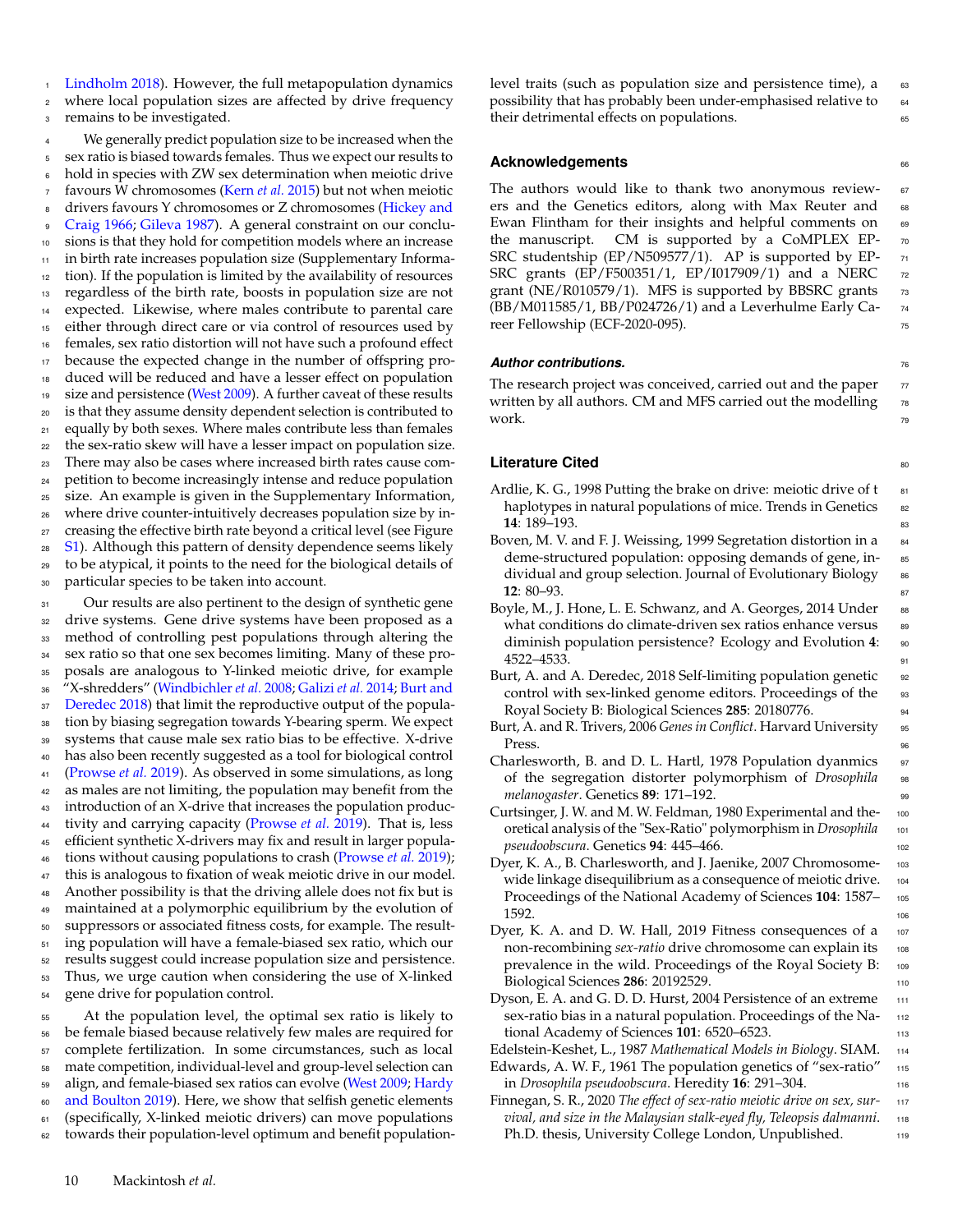[Lindholm](#page-10-35) [2018\)](#page-10-35). However, the full metapopulation dynamics <sup>2</sup> where local population sizes are affected by drive frequency <sup>3</sup> remains to be investigated.

 We generally predict population size to be increased when the sex ratio is biased towards females. Thus we expect our results to hold in species with ZW sex determination when meiotic drive favours W chromosomes [\(Kern](#page-10-36) *et al.* [2015\)](#page-10-36) but not when meiotic [d](#page-10-37)rivers favours Y chromosomes or Z chromosomes [\(Hickey and](#page-10-37) [Craig](#page-10-37) [1966;](#page-10-37) [Gileva](#page-10-38) [1987\)](#page-10-38). A general constraint on our conclu- sions is that they hold for competition models where an increase in birth rate increases population size (Supplementary Informa- tion). If the population is limited by the availability of resources regardless of the birth rate, boosts in population size are not expected. Likewise, where males contribute to parental care either through direct care or via control of resources used by females, sex ratio distortion will not have such a profound effect because the expected change in the number of offspring pro- duced will be reduced and have a lesser effect on population 19 size and persistence [\(West](#page-11-8) [2009\)](#page-11-8). A further caveat of these results is that they assume density dependent selection is contributed to equally by both sexes. Where males contribute less than females the sex-ratio skew will have a lesser impact on population size. There may also be cases where increased birth rates cause com- petition to become increasingly intense and reduce population size. An example is given in the Supplementary Information, where drive counter-intuitively decreases population size by in- creasing the effective birth rate beyond a critical level (see Figure [S1\)](#page-11-9). Although this pattern of density dependence seems likely to be atypical, it points to the need for the biological details of particular species to be taken into account.

31 Our results are also pertinent to the design of synthetic gene drive systems. Gene drive systems have been proposed as a method of controlling pest populations through altering the sex ratio so that one sex becomes limiting. Many of these pro- posals are analogous to Y-linked meiotic drive, for example ["](#page-9-12)X-shredders" [\(Windbichler](#page-11-10) *et al.* [2008;](#page-11-10) [Galizi](#page-10-39) *et al.* [2014;](#page-10-39) [Burt and](#page-9-12) [Deredec](#page-9-12) [2018\)](#page-9-12) that limit the reproductive output of the popula- tion by biasing segregation towards Y-bearing sperm. We expect systems that cause male sex ratio bias to be effective. X-drive has also been recently suggested as a tool for biological control [\(Prowse](#page-10-40) *et al.* [2019\)](#page-10-40). As observed in some simulations, as long as males are not limiting, the population may benefit from the introduction of an X-drive that increases the population produc- tivity and carrying capacity [\(Prowse](#page-10-40) *et al.* [2019\)](#page-10-40). That is, less efficient synthetic X-drivers may fix and result in larger popula- tions without causing populations to crash [\(Prowse](#page-10-40) *et al.* [2019\)](#page-10-40); this is analogous to fixation of weak meiotic drive in our model. Another possibility is that the driving allele does not fix but is maintained at a polymorphic equilibrium by the evolution of suppressors or associated fitness costs, for example. The result- ing population will have a female-biased sex ratio, which our results suggest could increase population size and persistence. Thus, we urge caution when considering the use of X-linked gene drive for population control.

 At the population level, the optimal sex ratio is likely to be female biased because relatively few males are required for complete fertilization. In some circumstances, such as local mate competition, individual-level and group-level selection can [a](#page-10-41)lign, and female-biased sex ratios can evolve [\(West](#page-11-8) [2009;](#page-11-8) [Hardy](#page-10-41) [and Boulton](#page-10-41) [2019\)](#page-10-41). Here, we show that selfish genetic elements (specifically, X-linked meiotic drivers) can move populations towards their population-level optimum and benefit populationlevel traits (such as population size and persistence time), a  $\sim$  63 possibility that has probably been under-emphasised relative to 64 their detrimental effects on populations.  $65$ 

## **Acknowledgements** 66

The authors would like to thank two anonymous review- 67 ers and the Genetics editors, along with Max Reuter and 68 Ewan Flintham for their insights and helpful comments on 69 the manuscript. CM is supported by a CoMPLEX EP- $_{70}$ SRC studentship (EP/N509577/1). AP is supported by EP- 71 SRC grants (EP/F500351/1, EP/I017909/1) and a NERC 72 grant (NE/R010579/1). MFS is supported by BBSRC grants 73 (BB/M011585/1, BB/P024726/1) and a Leverhulme Early Ca- <sup>74</sup> reer Fellowship (ECF-2020-095). 75

#### *Author contributions.* <sup>76</sup>

The research project was conceived, carried out and the paper  $77$ written by all authors. CM and MFS carried out the modelling  $\frac{78}{8}$  $work.$  79

### **Literature Cited** 80

- <span id="page-9-1"></span>Ardlie, K. G., 1998 Putting the brake on drive: meiotic drive of t haplotypes in natural populations of mice. Trends in Genetics sz **14**: 189–193.
- <span id="page-9-11"></span>Boven, M. V. and F. J. Weissing, 1999 Segretation distortion in a  $\approx$ deme-structured population: opposing demands of gene, in- <sup>85</sup> dividual and group selection. Journal of Evolutionary Biology as **12**: 80–93. <sup>87</sup>
- <span id="page-9-8"></span>Boyle, M., J. Hone, L. E. Schwanz, and A. Georges, 2014 Under 88 what conditions do climate-driven sex ratios enhance versus ss diminish population persistence? Ecology and Evolution 4: 90 4522–4533. <sup>91</sup>
- <span id="page-9-12"></span>Burt, A. and A. Deredec, 2018 Self-limiting population genetic <sup>92</sup> control with sex-linked genome editors. Proceedings of the 93 Royal Society B: Biological Sciences **285**: 20180776. <sup>94</sup>
- <span id="page-9-0"></span>Burt, A. and R. Trivers, 2006 Genes in Conflict. Harvard University 95 Press. 96
- <span id="page-9-2"></span>Charlesworth, B. and D. L. Hartl, 1978 Population dyanmics 97 of the segregation distorter polymorphism of *Drosophila* 98 *melanogaster*. Genetics **89**: 171–192.
- <span id="page-9-4"></span>Curtsinger, J. W. and M. W. Feldman, 1980 Experimental and the- <sup>100</sup> oretical analysis of the "Sex-Ratio" polymorphism in *Drosophila* <sup>101</sup> *pseudoobscura*. Genetics **94**: 445–466. 102
- <span id="page-9-5"></span>Dyer, K. A., B. Charlesworth, and J. Jaenike, 2007 Chromosome- <sup>103</sup> wide linkage disequilibrium as a consequence of meiotic drive. 104 Proceedings of the National Academy of Sciences **104**: 1587– <sup>105</sup>  $1592.$  106
- <span id="page-9-6"></span>Dyer, K. A. and D. W. Hall, 2019 Fitness consequences of a 107 non-recombining *sex-ratio* drive chromosome can explain its 108 prevalence in the wild. Proceedings of the Royal Society B: 109 Biological Sciences **286**: 20192529. <sup>110</sup>
- <span id="page-9-7"></span>Dyson, E. A. and G. D. D. Hurst, 2004 Persistence of an extreme 111 sex-ratio bias in a natural population. Proceedings of the Na- <sup>112</sup> tional Academy of Sciences **101**: 6520–6523. <sup>113</sup>
- <span id="page-9-9"></span>Edelstein-Keshet, L., 1987 *Mathematical Models in Biology*. SIAM. <sup>114</sup>
- <span id="page-9-3"></span>Edwards, A. W. F., 1961 The population genetics of "sex-ratio" 115 in *Drosophila pseudoobscura*. Heredity **16**: 291–304. <sup>116</sup>
- <span id="page-9-10"></span>Finnegan, S. R., 2020 *The effect of sex-ratio meiotic drive on sex, sur-* <sup>117</sup> *vival, and size in the Malaysian stalk-eyed fly, Teleopsis dalmanni*. <sup>118</sup> Ph.D. thesis, University College London, Unpublished. 119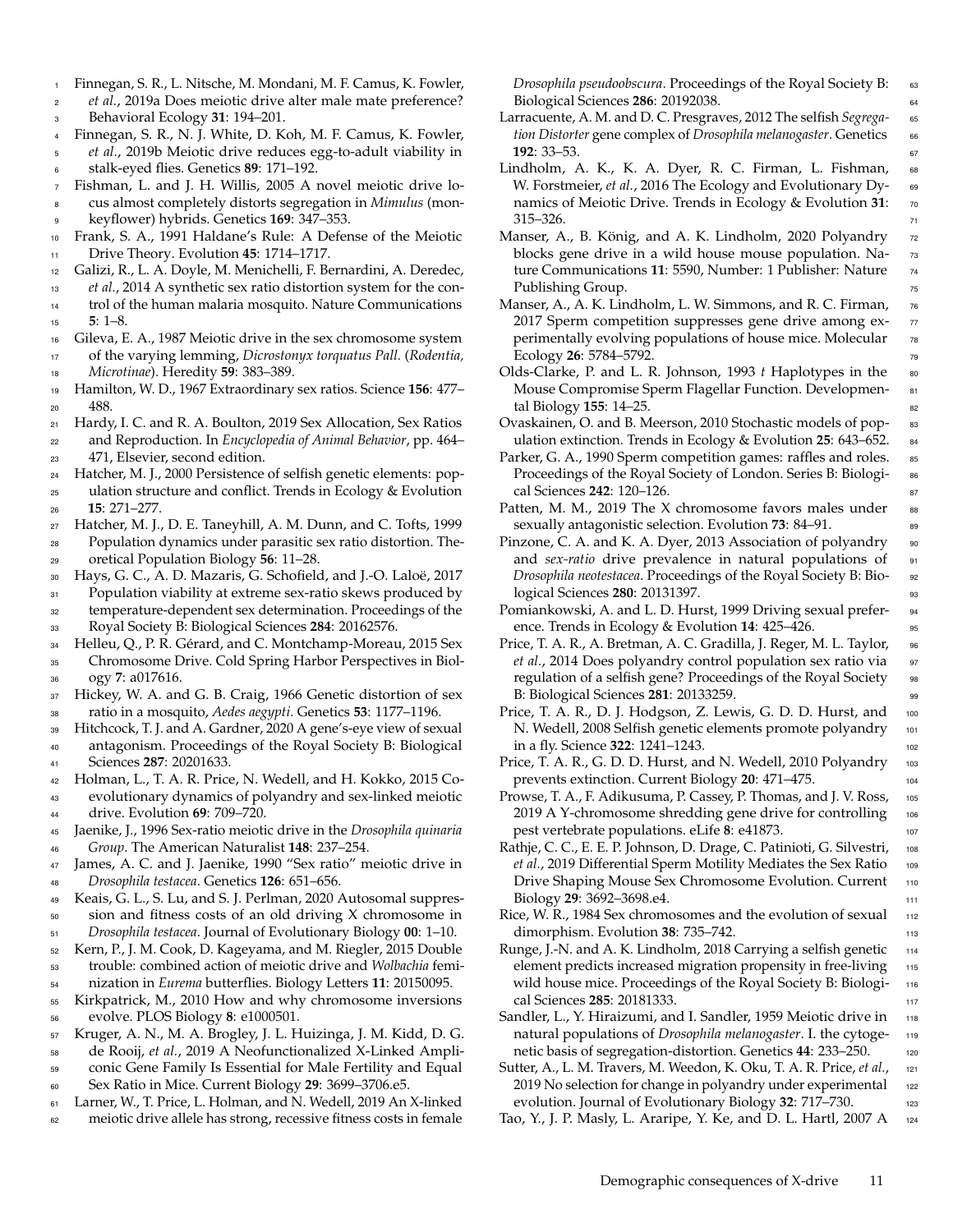- <span id="page-10-31"></span><sup>1</sup> Finnegan, S. R., L. Nitsche, M. Mondani, M. F. Camus, K. Fowler, <sup>2</sup> *et al.*, 2019a Does meiotic drive alter male mate preference?
- <sup>3</sup> Behavioral Ecology **31**: 194–201.
- <span id="page-10-14"></span><sup>4</sup> Finnegan, S. R., N. J. White, D. Koh, M. F. Camus, K. Fowler,
- <sup>5</sup> *et al.*, 2019b Meiotic drive reduces egg-to-adult viability in
- <span id="page-10-2"></span><sup>6</sup> stalk-eyed flies. Genetics **89**: 171–192. <sup>7</sup> Fishman, L. and J. H. Willis, 2005 A novel meiotic drive lo-
- <sup>8</sup> cus almost completely distorts segregation in *Mimulus* (mon-
- <sup>9</sup> keyflower) hybrids. Genetics **169**: 347–353.
- <span id="page-10-7"></span><sup>10</sup> Frank, S. A., 1991 Haldane's Rule: A Defense of the Meiotic <sup>11</sup> Drive Theory. Evolution **45**: 1714–1717.
- <span id="page-10-39"></span><sup>12</sup> Galizi, R., L. A. Doyle, M. Menichelli, F. Bernardini, A. Deredec,
- <sup>13</sup> *et al.*, 2014 A synthetic sex ratio distortion system for the con-<sup>14</sup> trol of the human malaria mosquito. Nature Communications
- <sup>15</sup> **5**: 1–8.
- <span id="page-10-38"></span><sup>16</sup> Gileva, E. A., 1987 Meiotic drive in the sex chromosome system <sup>17</sup> of the varying lemming, *Dicrostonyx torquatus Pall.* (*Rodentia,* <sup>18</sup> *Microtinae*). Heredity **59**: 383–389.
- <span id="page-10-6"></span><sup>19</sup> Hamilton, W. D., 1967 Extraordinary sex ratios. Science **156**: 477– <sup>20</sup> 488.
- <span id="page-10-41"></span><sup>21</sup> Hardy, I. C. and R. A. Boulton, 2019 Sex Allocation, Sex Ratios <sup>22</sup> and Reproduction. In *Encyclopedia of Animal Behavior*, pp. 464–
- <sup>23</sup> 471, Elsevier, second edition.
- <span id="page-10-34"></span><sup>24</sup> Hatcher, M. J., 2000 Persistence of selfish genetic elements: pop-<sup>25</sup> ulation structure and conflict. Trends in Ecology & Evolution <sup>26</sup> **15**: 271–277.
- <span id="page-10-21"></span><sup>27</sup> Hatcher, M. J., D. E. Taneyhill, A. M. Dunn, and C. Tofts, 1999 <sup>28</sup> Population dynamics under parasitic sex ratio distortion. The-<sup>29</sup> oretical Population Biology **56**: 11–28.
- <span id="page-10-33"></span><sup>30</sup> Hays, G. C., A. D. Mazaris, G. Schofield, and J.-O. Laloë, 2017 31 Population viability at extreme sex-ratio skews produced by <sup>32</sup> temperature-dependent sex determination. Proceedings of the
- <sup>33</sup> Royal Society B: Biological Sciences **284**: 20162576.

<span id="page-10-5"></span><sup>34</sup> Helleu, Q., P. R. Gérard, and C. Montchamp-Moreau, 2015 Sex <sup>35</sup> Chromosome Drive. Cold Spring Harbor Perspectives in Biol-

- <span id="page-10-37"></span><sup>36</sup> ogy **7**: a017616. 37 Hickey, W. A. and G. B. Craig, 1966 Genetic distortion of sex <sup>38</sup> ratio in a mosquito, *Aedes aegypti*. Genetics **53**: 1177–1196.
- <span id="page-10-23"></span><sup>39</sup> Hitchcock, T. J. and A. Gardner, 2020 A gene's-eye view of sexual <sup>40</sup> antagonism. Proceedings of the Royal Society B: Biological
- <span id="page-10-18"></span><sup>41</sup> Sciences **287**: 20201633. <sup>42</sup> Holman, L., T. A. R. Price, N. Wedell, and H. Kokko, 2015 Co-
- <sup>43</sup> evolutionary dynamics of polyandry and sex-linked meiotic <sup>44</sup> drive. Evolution **69**: 709–720.
- <span id="page-10-1"></span><sup>45</sup> Jaenike, J., 1996 Sex-ratio meiotic drive in the *Drosophila quinaria* <sup>46</sup> *Group*. The American Naturalist **148**: 237–254.
- <span id="page-10-20"></span><sup>47</sup> James, A. C. and J. Jaenike, 1990 "Sex ratio" meiotic drive in <sup>48</sup> *Drosophila testacea*. Genetics **126**: 651–656.
- <span id="page-10-13"></span><sup>49</sup> Keais, G. L., S. Lu, and S. J. Perlman, 2020 Autosomal suppres-<sup>50</sup> sion and fitness costs of an old driving X chromosome in <sup>51</sup> *Drosophila testacea*. Journal of Evolutionary Biology **00**: 1–10.
- <span id="page-10-36"></span><sup>52</sup> Kern, P., J. M. Cook, D. Kageyama, and M. Riegler, 2015 Double <sup>53</sup> trouble: combined action of meiotic drive and *Wolbachia* femi-
- <sup>54</sup> nization in *Eurema* butterflies. Biology Letters **11**: 20150095.
- <span id="page-10-11"></span><sup>55</sup> Kirkpatrick, M., 2010 How and why chromosome inversions <sup>56</sup> evolve. PLOS Biology **8**: e1000501.
- <span id="page-10-29"></span><sup>57</sup> Kruger, A. N., M. A. Brogley, J. L. Huizinga, J. M. Kidd, D. G.
- <sup>58</sup> de Rooij, *et al.*, 2019 A Neofunctionalized X-Linked Ampli-<sup>59</sup> conic Gene Family Is Essential for Male Fertility and Equal
- <sup>60</sup> Sex Ratio in Mice. Current Biology **29**: 3699–3706.e5.
- <span id="page-10-12"></span><sup>61</sup> Larner, W., T. Price, L. Holman, and N. Wedell, 2019 An X-linked
- <sup>62</sup> meiotic drive allele has strong, recessive fitness costs in female

*Drosophila pseudoobscura*. Proceedings of the Royal Society B: 63 Biological Sciences **286**: 20192038. <sup>64</sup>

- <span id="page-10-8"></span>Larracuente, A. M. and D. C. Presgraves, 2012 The selfish *Segrega-* <sup>65</sup> *tion Distorter* gene complex of *Drosophila melanogaster*. Genetics <sup>66</sup> **192**: 33–53. <sup>67</sup>
- <span id="page-10-4"></span>Lindholm, A. K., K. A. Dyer, R. C. Firman, L. Fishman, 68 W. Forstmeier, *et al.*, 2016 The Ecology and Evolutionary Dy- 69 namics of Meiotic Drive. Trends in Ecology & Evolution 31: 70  $315-326.$   $71$
- <span id="page-10-17"></span>Manser, A., B. König, and A. K. Lindholm, 2020 Polyandry 72 blocks gene drive in a wild house mouse population. Nature Communications **11**: 5590, Number: 1 Publisher: Nature <sup>74</sup> Publishing Group. The state of the state of the state of the state of the state of the state of the state of the state of the state of the state of the state of the state of the state of the state of the state of the state
- <span id="page-10-16"></span>Manser, A., A. K. Lindholm, L. W. Simmons, and R. C. Firman, 76 2017 Sperm competition suppresses gene drive among experimentally evolving populations of house mice. Molecular  $\frac{1}{2}$ Ecology **26**: 5784–5792.
- <span id="page-10-28"></span>Olds-Clarke, P. and L. R. Johnson, 1993 *t* Haplotypes in the so Mouse Compromise Sperm Flagellar Function. Developmen- 81 tal Biology **155**: 14–25.
- <span id="page-10-26"></span>Ovaskainen, O. and B. Meerson, 2010 Stochastic models of pop- <sup>83</sup> ulation extinction. Trends in Ecology & Evolution **25**: 643–652. <sup>84</sup>
- <span id="page-10-24"></span>Parker, G. A., 1990 Sperm competition games: raffles and roles. <sup>85</sup> Proceedings of the Royal Society of London. Series B: Biologi- 86 cal Sciences **242**: 120–126. <sup>87</sup>
- <span id="page-10-22"></span>Patten, M. M., 2019 The X chromosome favors males under 88 sexually antagonistic selection. Evolution 73: 84–91.
- <span id="page-10-32"></span>Pinzone, C. A. and K. A. Dyer, 2013 Association of polyandry 90 and *sex-ratio* drive prevalence in natural populations of 91 *Drosophila neotestacea*. Proceedings of the Royal Society B: Bio- 92 **logical Sciences 280: 20131397.** 93
- <span id="page-10-10"></span>Pomiankowski, A. and L. D. Hurst, 1999 Driving sexual prefer- <sup>94</sup> ence. Trends in Ecology & Evolution **14**: 425–426.
- <span id="page-10-9"></span>Price, T. A. R., A. Bretman, A. C. Gradilla, J. Reger, M. L. Taylor, 96 *et al.*, 2014 Does polyandry control population sex ratio via 97 regulation of a selfish gene? Proceedings of the Royal Society 98 B: Biological Sciences **281**: 20133259. <sup>99</sup>
- <span id="page-10-15"></span>Price, T. A. R., D. J. Hodgson, Z. Lewis, G. D. D. Hurst, and 100 N. Wedell, 2008 Selfish genetic elements promote polyandry 101 in a fly. Science **322**: 1241–1243.
- <span id="page-10-27"></span>Price, T. A. R., G. D. D. Hurst, and N. Wedell, 2010 Polyandry 103 prevents extinction. Current Biology **20**: 471–475. <sup>104</sup>
- <span id="page-10-40"></span>Prowse, T. A., F. Adikusuma, P. Cassey, P. Thomas, and J. V. Ross, 105 2019 A Y-chromosome shredding gene drive for controlling 106 pest vertebrate populations. eLife 8: e41873.
- <span id="page-10-30"></span>Rathje, C. C., E. E. P. Johnson, D. Drage, C. Patinioti, G. Silvestri, <sup>108</sup> *et al.*, 2019 Differential Sperm Motility Mediates the Sex Ratio 109 Drive Shaping Mouse Sex Chromosome Evolution. Current 110 Biology **29**: 3692–3698.e4. <sup>111</sup>
- <span id="page-10-25"></span>Rice, W. R., 1984 Sex chromosomes and the evolution of sexual 112 dimorphism. Evolution **38**: 735–742.
- <span id="page-10-35"></span>Runge, J.-N. and A. K. Lindholm, 2018 Carrying a selfish genetic 114 element predicts increased migration propensity in free-living 115 wild house mice. Proceedings of the Royal Society B: Biologi- <sup>116</sup> cal Sciences **285**: 20181333. <sup>117</sup>
- <span id="page-10-0"></span>Sandler, L., Y. Hiraizumi, and I. Sandler, 1959 Meiotic drive in 118 natural populations of *Drosophila melanogaster*. I. the cytoge- <sup>119</sup> netic basis of segregation-distortion. Genetics 44: 233-250. 120
- <span id="page-10-19"></span>Sutter, A., L. M. Travers, M. Weedon, K. Oku, T. A. R. Price, et al., 121 2019 No selection for change in polyandry under experimental 122 evolution. Journal of Evolutionary Biology 32: 717–730.
- <span id="page-10-3"></span>Tao, Y., J. P. Masly, L. Araripe, Y. Ke, and D. L. Hartl, 2007 A <sup>124</sup>